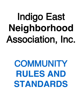# Indigo East **Neighborhood** Association, Inc.

# **COMMUNITY RULES AND STANDARDS**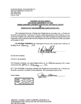AFTER RECORDING, PLEASE RETURN TO: Indigo East Neighborhood Association, Inc. Attn: Patty Soriano 8445 SW 80th Street Ocala, FL 34481

#### **CERTIFICATE REGARDING** THE SIXTH AMENDMENT TO THE THIRD AMENDED AND RESTATED RULES AND REGULATIONS OF INDIGO EAST NEIGHBORHOOD ASSOCIATION, INC.

The undersigned Secretary of Indigo East Neighborhood Association, Inc., a Florida notfor-profit corporation (the "Association"), hereby certifies that attached to this Certificate is a true, correct and complete copy of the Sixth Amendment to the Third Amended and Restated Rules and Regulations of the Association that were duly adopted by the Board of Directors of the Association on December 8, 2021.

IN WITNESS WHEREOF, the undersigned Secretary has executed this Certificate on the  $\frac{4\pi}{100}$  day of  $\frac{6\pi}{100}$  or  $\frac{6\pi}{100}$  . 2022.

**STATE OF FLORIDA** 

**COUNTY OF MARION** 

The foregoing Certificate was acknowledged before me via  $\blacktriangleright$  physical presence OR  $\Box$  online notarizations this 17<sup>th</sup> day of *February* 2022.

By C. Guy Woolbright, as Secretary of Indigo East Neighborhood Association, Inc., a Florida notfor-profit corporation, on behalf of said corporation. He is personally known to me.

Notary Stamp:

Atrini 12000

PATRICIA A. SORIANO Notary Public - State of Florida Commission # GG 350851 My Comm. Expires Oct 11, 2023 Bonded through National Notary Assn.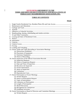#### **SIXTH FIFTH-AMENDMENT TO THE** THIRD AMENDED AND RESTATED RULES AND REGULATIONS OF **INDIGO EAST NEIGHBORHOOD ASSOCIATION, INC.**

#### **TABLE OF CONTENTS**

#### **PAGE**

| 1. |  |  |  |
|----|--|--|--|
| 2. |  |  |  |
| 3. |  |  |  |
| 4. |  |  |  |
| 5. |  |  |  |
| 6. |  |  |  |
| 7. |  |  |  |
| 8. |  |  |  |
|    |  |  |  |
|    |  |  |  |
|    |  |  |  |
|    |  |  |  |
|    |  |  |  |
|    |  |  |  |
|    |  |  |  |
|    |  |  |  |
|    |  |  |  |
|    |  |  |  |
|    |  |  |  |
|    |  |  |  |
|    |  |  |  |
|    |  |  |  |
|    |  |  |  |
|    |  |  |  |
|    |  |  |  |
|    |  |  |  |
|    |  |  |  |
|    |  |  |  |
|    |  |  |  |
|    |  |  |  |
|    |  |  |  |
|    |  |  |  |
|    |  |  |  |
|    |  |  |  |
|    |  |  |  |
|    |  |  |  |
|    |  |  |  |
|    |  |  |  |
|    |  |  |  |
|    |  |  |  |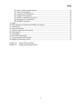Exhibit "A" - Private Golf Cart Rules<br>Exhibit "B" - Indigo East Planning Criteria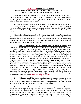#### **SIXTH FIFTH AMENDMENT TO THE THIRD AMENDED AND RESTATED RULES AND REGULATIONS OF INDIGO EAST NEIGHBORHOOD ASSOCIATION, INC.**

These are the Rules and Regulations of Indigo East Neighborhood Association, Inc., a Florida corporation not for profit. These Rules and Regulations will be administered by Indigo East Neighborhood Association, Inc. and/or a management company duly appointed by it (jointly and severally referred to as the "Association").

Except as otherwise specifically defined in these Rules and Regulations, capitalized terms used in these Rules and Regulations shall have the meanings assigned to those terms by the Declaration of Covenants, Conditions and Restrictions for Indigo East recorded May 27, 2004 in Official Records Book 3730, Pages 757 through 848, of the Public Records of Marion County, Florida.

These Rules and Regulations apply to all of Indigo East. Each Owner of each Residential Unit in Indigo East and his or her family members, tenants, invitees, successors and assigns, each resident of each Residential Unit in Indigo East, and each visitor to Indigo East, shall be bound by, and they shall abide by, the provisions of these Rules and Regulations and all other Governing Documents, as the same may be amended from time to time.

1. **Single Family Residential Use, Resident Photo IDs and Gate Access**.Each Residential Unit shall be used for single-family residency only. Single-family shall mean and refer to (a) a group of one or more persons each related to the other by blood, marriage, or legal adoption, provided that such group does not exceed more than two (2) adults per bedroom or a maximum of four (4) related people who maintain a common household in a Dwelling; or (b) a group of not more than two (2) persons not all so related together with up to one (1) person related by blood, marriage, or legal adoption to one of the other two (2), for a maximum of three (3) people who maintain a common household in a Dwelling. The number of individuals approved for occupancy by the Association for each Residential Unit will depend on the individual facts and circumstances of each application including, but not limited to, the age, number, and relationship of the proposed Occupants, and the size and configuration of the Residential Units. Photo ID cards and gate access controls will be issued only to residents who have been approved for occupancy in the community. Up to two (2) photo ID cards per household may be issued to residents who have been approved for occupancy in the community. Up to two (2) gate access controls per household may be issued to residents who have been approved for occupancy in the community and who are Gateway of Service holders. Photo ID cards are updated every five (5) years. Additional annual fees will apply for more than two (2) occupants regardless of usage of facilities.

2. **Maintenance and Alterations**. Each Occupant shall keep and maintain the interior and exterior of his or her Residential Unit in good, presentable, clean and sanitary condition and repair, including but not limited to the fixtures in the Dwelling or Home, the Lot in which the Dwelling or Home is located and the lawn and landscaping on that Lot.

No alteration or modification of the exterior or structural components of any Residential Unit, of the landscaping or lawn irrigation (sprinkler) system on any Lot, nor any exterior painting of doors, driveways, or exterior areas of any Dwelling, Home or Lot, nor the installation, alteration or painting of any fence or wall, may occur or be made without the specific advance written approval of the Association or its designee. In considering any request for approval of a proposed alteration or modification, the Association or its designee will take into account the easement rights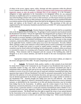of others in the access, ingress, egress, utility, drainage and other easements within the affected Lot or Common Areas of the Community. Under no circumstance shall a homeowner modification negatively impact or alter the grade or drainage flow of any property. It is the Occupant's obligation to make application to the Association at its designated offices for any proposed alteration or modification prior to commencement of the work. If an Owner encloses any exterior area of the Dwelling or Home with a screen or other enclosure, or if the Owner encloses any portion of the Lot or Parcel with a fence or other enclosure, the enclosed area shall be considered thereafter as an interior portion of the Dwelling or Home that shall be the obligation of the Owner to maintain, repair and replace, at the Owner's sole cost and expense. The provisions of this rule are supplemented by the Community Standards attached hereto as Exhibit "B" and incorporated herein by this reference.

3. **Garbage and Trash**. Routine disposal of garbage and trash shall be accomplished only on the designated days for Indigo East. No garbage or trash receptacles may be placed outside the Residential Unit before 7:00 pm the night before the designated pick-up day(s) or left out past 7:004:00 pm on the designated pick-up day(s). There shall be no disposal within Indigo East of any unusual or excessive garbage or trash generated from within any Residential Unit (including but not limited to clothing, household furnishings or construction debris) except in drop storage containers, construction debris containers or dumpsters approved by the Association and provided by the applicable Owner, resident or other party at no cost to the Association. No trash, rubbish, debris, garbage or other waste material or refuse shall be placed, stored or permitted to accumulate on any part of Indigo East except in covered or sealed sanitary containers. All such sanitary containers must be stored within each building, buried underground, or placed within an enclosure or concealed by means of a screening wall of material similar to and compatible with that of the building. These elements shall be integrated with the concept of the building plan, shall be designed so as not to attract attention, and shall be located in the most inconspicuous manner possible.

Appropriate compost containment storage bins, that will not attract rodents, are subject to the review and approval of the ARB. No open composting in piles is allowed.

4. **Animals**. No livestock, birds, poultry, reptiles or other animals of any kind shall be raised, bred or kept in the Community by any Occupant of any Residential Unit except for a reasonable number of dogs, cats, birds or other usual and customary household pets kept or maintained solely as domestic pets and not for any commercial purpose. For the purposes hereof, numbers in excess of two (2) of each such type of usual and customary household pet (other than aquarium-kept tropical fish) per Residential Unit shall be presumed unreasonable, but the Board shall have the authority in its sole and absolute discretion, and upon such terms and conditions as may be deemed appropriate by the Board, to grant permission for a larger number of animals in any Residential Unit. Animals brought into Indigo East must be well behaved. Any animal deemed too noisy, aggressive, offensive, threatening, disruptive or otherwise an actual or potential nuisance, as determined by the Association in its sole and absolute discretion, may be excluded from Indigo East by the Association. In addition, upon the written request of any Owner, the Board may conclusively determine, in its sole and absolute discretion, whether or not, for purposes of this section, a particular animal is a usual and customary household pet and/or whether or not a particular animal is too noisy, aggressive, offensive, threatening, disruptive or otherwise an actual or potential nuisance. The Board shall have the right to require the owner of any animal deemed by the Association to be too noisy, aggressive, offensive, threatening, disruptive or otherwise an actual or potential nuisance to remove such animal from Indigo East. While outside Residential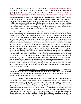Units, all animals must be kept on a leash or other restraint-, including back yards unless fenced, and must be accompanied at all times by the owner or custodian. Animal feces must be picked up immediately and disposed of properly by the owner or custodian of the animal. No storage or disposal of animal feces in your yard, the common property or undeveloped property is allowed. Each Owner shall be liable to the Association for the cost of repair of any damage to the Neighborhood Common Property or Neighborhood Limited Common Property caused by any animal belonging to such Owner or to any occupant of such Owner's Residential Unit. All animal food shall be kept in proper storage containers, and stored in an interior location, so as not to attract wildlife. Any feeding, excluding approved bird feeders, intentional or otherwise, of any wildlife, including but not limited to coyotes, feral cats and migratory water fowl, is strictly prohibited. This includes feeder stations, broadcasting feed, or otherwise making readily available food (including salt licks) that would be attractive to these forms of wildlife.

5. **Offensive or Unlawful Activities**. No occupant nor their guests, shall do or permit to be done anything that interferes with the rights, comfort or convenience of other owners, residents, guests, or visitors. No improper, unsanitary, unsightly, offensive or unlawful use, condition or activity shall be permitted, conducted or maintained in the Community by any occupant or occupant's guests or visitors to Indigo East, and all applicable governmental laws and regulations shall be observed. No nuisances shall be allowed, nor use or practice, which is the source of an annoyance to occupants, or which interferes with the peaceful possession of any other occupant within the Community. No Owner, resident or visitor may use or play, or permit to be used or played anywhere in Indigo East any mechanical, electrical or other device (including but not limited to any musical instrument, stereo, amplifier, radio or television) between the hours of 11:30 p.m. and the following 7:00 a.m. in a manner that disturbs any other Owner, resident or visitor in Indigo East. The use, enjoyment and occupancy of Indigo East shall be carried out in such manner as not to cause or produce any of the following effects discernible outside buildings located thereon or affect the adjoining property or any portion or portions thereof: noise or sound that exceeds the levels permitted under the Marion County Noise Ordinance, as amended from time to time; offensive or abusive language, behavior or acts; smoke, noxious, toxic or corrosive fumes or gases; obnoxious odors; dust, dirt or fly ash; unusual fire or explosive hazards; or vibration. For the purposes of interpreting and implementing this section, the Board shall have exclusive and absolute authority to determine whether or not any existing or proposed activity or condition violates this section.

6. **Skateboarding, skating, rollerblading and similar activities**. Skateboarding, skating, rollerblading and similar activities are permitted only on the Residential Units and streets in Indigo East and shall not be permitted in any other Neighborhood Common Property or Neighborhood Limited Common Property in Indigo East.

7. **55 and Older Community**. Indigo East has been designated as housing for persons who are fifty-five (55) years of age or older. At least eighty percent (80%) of the Residential Units in Indigo East must be occupied by at least one person who is fifty-five (55) years of age or older. In order to ensure that Indigo East qualifies as housing for persons fifty five (55) years of age or older under the Federal Fair Housing Act (42 U.S.C. 3601, et seq.), satisfies the occupancy and age verification requirements of Rule 100.307 of the U.S. Department of Housing and Urban Development (24 C.F.R. 100.307), and complies with the requirements of the Florida Fair Housing Act (Chapter 760, Florida Statutes) and the rules and regulations of the Florida Commission on Human Relations, a survey of the residents of Indigo East will be conducted and updated by the Association as and to the extent required by applicable law. Each Owner and resident shall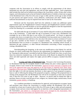cooperate with the Association in its efforts to comply with the requirements of the abovementioned acts and rules and regulations, and with all other applicable laws. Such cooperation shall include (but shall not be limited to) providing to the Association, within 10 days after written request, such information (such as but not limited to identification of whether at least one occupant of the Residential Unit is fifty-five (55) years of age or older and the current age or date of birth of such person) and signed surveys, sworn affidavits, certifications and other reliable, legally sufficient documentation as may be required from time to time by the Association.

Declarant and the Association shall have the authority to make any additional capital improvements upon the Neighborhood Common Property and Neighborhood Limited Common Property necessary to provide facilities or services specifically designed to meet the requirements of the Fair Housing Act, as amended, and other applicable laws.

No child under the age of seventeen (17) years shall be allowed to reside in any Residential Unit in the Community. A child under the age of seventeen (17) may visit a Residential Unit overnight for up to thirty (30) days in any twelve (12) month period. An Owner or approved occupant who owns or occupies his or her own Residential Unit may permit one (1) minor only to reside in the Residential Unit with him or her, but only if the minor is at least seventeen (17) years of age and a member of that Owner's or occupant's family. The Association may request documentation from an Owner or occupant of a Residential Unit, including school records, to determine the age, residency, or other relevant information concerning a minor occupying or visiting a Residential Unit.

Notwithstanding the foregoing, in the event any modification to the Federal Act and the Florida Act which would make less restrictive the requirements for eligibility for the exemption for "housing for older persons" provided by both the Federal and Florida Acts, then, in such event, those less restrictive standards may, in the sole discretion of the Board, be adopted by the Board alone and shall supersede and replace the eighty percent (80%) occupancy standard described herein.

8. **Leasing and Sales of Residential Units**. Pursuant to the Governing Documents, no Residential Unit may be occupied, leased or sold without the prior written approval of the occupant, lessee or new owner by the Association. Approval of lease renewals is required at the end of the approved lease term and approval of all non-owners is required every three years, regardless of the lease term. Without limiting the generality of the foregoing, the Association shall have the right, in its sole and absolute discretion, to deny approval of any proposed occupancy, lease or sale if, following the taking of the proposed occupancy, making of the proposed lease or closing of the proposed sale, the Residential Unit will not be occupied by at least one (1) person who is fifty-five (55) years of age or older. However, no person shall be denied the right to purchase, lease or occupy a unit because of race, religion, sex, national origin, marital status, sexual orientation, gender identity, or handicap.

As a condition precedent to consideration for approval, each prospective occupant, lessee and purchaser must inform the Association in writing whether the Residential Unit will be occupied by at least one (1) person who is fifty-five (55) years of age or older and each proposed occupant, lessee and new owner shall appear for an interview with a designated representative of the Association. and submit to a background check to be arranged by the Association. New background checks for non-owners are required every three years.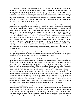In no event may any Residential Unit be leased in a furnished condition for an initial term of less than six (6) months plus one (1) week, and no Residential Unit may be leased in an unfurnished condition for an initial term of less than one (1) year. Residential Units may be leased, licensed or occupied only in their entirety, except as described in the following paragraph, and no fraction or portion of a Residential Unit may be rented. Individual rooms of a Residential Unit may not be leased on any basis. Notwithstanding the foregoing, the father, mother, sibling or child of the occupant, lessee or purchaser may also reside in the Residential Unit provided that all other occupancy restrictions and requirements are met.

Occupancy of any Residential Unit owned by any corporation, limited liability company, partnership, limited partnership, limited liability partnership, limited liability limited partnership, trust or other form of artificial entity shall be limited to any person who: (a) is fifty-five (55) years of age or older; (b) currently holds a title and senior management position with that artificial entity or currently owns (directly or indirectly) at least a ten percent (10%) beneficial interest in that artificial entity; (c) is an authorized signatory on the principal bank account of that artificial entity; AND (d) has had his or her name, title and senior management position or ten percent (10%) or more beneficial interest registered by the artificial entity with the Association, in writing, not less than forty-five (45) days prior to first occupancy of the Residential Unit by such person. Not more than four (4) persons meeting the foregoing criteria may be registered with the Association for occupancy of a Residential Unit at any one point in time. In addition, no single artificial entity, and no two or more artificial entities under direct or indirect common ownership or control, may own or control, whether directly or indirectly, more than three (3) Residential Units in Indigo East at the same time.

The Association may initiate and pursue (but shall not be obligated to initiate or pursue) any legal or equitable action or other lawful means to remove from any Residential Unit any person whose occupancy has not been approved in writing by the Association.

9. **Notices**. All official notices to the Owners from the Association must be approved by the president or vice president of the Association. No Member of the Association (other than the president or vice president of the Association) shall make or permit to be made, any written, typed, printed or electronically-transmitted notice of any kind, or post the same on any bulletin board, or mail or otherwise circulate, publish or broadcast the same to any other Association Member, which purports to be an official act or notice of the Association. Communications of a social nature or purpose sent to other Owners by any Owner, in his or her personal capacity, will not be deemed to be official notices from the Association, but they must bear the identity of the Owner making or uttering such communications and such Owner shall be fully responsible for the contents of such communication. Except as otherwise required or permitted by the Governing Documents or applicable law, all notices to the Owners shall be mailed to each Owner at the address on file for such purpose with the Association. All notices to the Association shall be sent to 8445 SW 80<sup>th</sup> Street, Ocala, Florida 34481 or such other address or addresses as may be designated from time to time by written notice from the Association to the Owners.

10. **Solicitation**. In order to promote a harmonious community and to minimize disturbing residents' quiet enjoyment of their homes, solicitation by vendors, service companies, or any Owners, residents, or visitors is prohibited without the prior, written consent of the Association. This includes solicitation on behalf of political campaigns, political candidates, voter awareness groups, petitions for governmental action, civic organizations, service clubs, school groups, charitable organizations, religious organizations, etc. Notwithstanding the foregoing,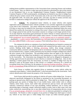nothing herein prohibits representatives of the Association from contacting Owners and residents in their homes. Also, no vehicle or other item may be placed or advertised for sale on the exterior of any Residential Unit or on any Neighborhood Common Property, Neighborhood Limited Common Property or CDD-owned property, including but not limited to any street in Indigo East, without the prior written consent of the Association and, in the case of the CDD-owned property, the applicable CDD. No estate sales, garage sales, yard sales, tag sales or similar activities may be held or conducted in Indigo East without the approval of the Association.

11. **Vehicles**. No unregistered motor vehicles, no motor vehicles with expired registration and no abandoned motor vehicles (whether or not currently registered) are permitted at any time in the Community. Any motor vehicle that remains unmoved for a period of fifteen (15) days or more may be treated by the Association as having been abandoned unless the owner thereof first notifies the Association in writing of the owner's intent to leave the vehicle unmoved for a longer period of time and the Association consents in writing to such longer period of time. At no time shall the Association grant permission for motor vehicles to remain unmoved for any period of time if such situation shall create a public safety concern. If a motor vehicle is determined to be unregistered, has an expired registration, is in the common area or at community amenities,  $\frac{1}{x}$  abandoned, <u>or a safety concern</u>, the Association may shall post notice on such motor vehicle and tow after within 24 hours, at the owner's expense, if not removed per Rule 13. Towing...

No commercial vehicles or containers of any kind (including but not limited to commercial trucks, vans, pickup trucks, or any vehicle retrofitted with commercial bins and/or racks, roof top carriers, flashing strobe lights, or lettering, advertising, trailers, drop storage containers, construction debris containers and dumpsters) and no recreational vehicles of any kind (including but not limited to RVs, campers, trailers and boats) may be parked overnight in Indigo East without the prior consent of the Association. The preceding sentence does not apply to any vehicles or containers brought into Indigo East incidental to any maintenance or repair activities undertaken by the Association. The Association may designate (but shall not be obligated to designate), in writing, approved areas for placement of such vehicles or containers in Indigo East. Also, by first obtaining a written permit from the Association, an Owner or resident of Indigo East may be allowed to park an RV/motor home in that Owner's or resident's driveway for a period not exceeding twenty-four (24) hours for the purpose of preparing (loading-unloading, cleanup, etc.) the RV or motorhome being outfitted prior to departure on a trip or upon returning from a trip.

Each Owner or resident who regularly drives or maintains a motor vehicle within the community must display a "vehicle identification" in the form prescribed by the Association. Such vehicle identification shall remain the property of the Association.

Each Owner shall provide for parking of vehicles off streets within Indigo East. Except as otherwise specifically designated by the Board or permitted by the Governing Documents, no parking on grassed areas shall be permitted in Indigo East. There shall be no outside storage or parking upon any portion of Indigo East of any mobile home, trailer (either with or without wheels), motor home, tractor, truck (other than personal-use pick-up trucks and sport-utility vehicles), commercial vehicles of any type (including, without limitation, cars or trucks with advertising signs or lettering), camper, motorized camper or trailer, boat or other water craft, boat trailer, motorcycle, motorized go-cart, or any other related forms of transportation devices, except if in an enclosed garage, adequately screened from view or otherwise permitted in writing by the Association. No Owners or other occupants of any portion of Indigo East shall repair or restore any vehicle of any kind upon or within Indigo East except: (a) within enclosed garages or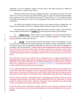workshops, or (b) for emergency repairs, and then only to the extent necessary to enable the movement thereof to a proper repair facility.

Despite any reference on the plat of Indigo East Phase 1 to potential use of the "B" Tracts and the "L" Tracts for travel by low-speed vehicles, golf cars, golf carts and motorized disability access vehicles, all use of said vehicles within the "B" Tracts and the "L" Tracts shall be limited to the paths and passageways, if any, that are designated for that purpose from time to time by the Association.

No vehicle may be parked, in whole or in part, on any unpaved surface in Indigo East. No vehicles may be parked on the street overnight without the prior consent of the Association.

All private golf carts brought into Indigo East shall at all times comply with the Private Golf Cart Rules attached hereto as **Exhibit "A"** and incorporated herein by this reference.

12. **Vehicle Covers.** Motor vehicle covers designed to fit match-the make/model of the vehicle are allowed so long as such motor vehicle is currently registered. No tarps or other unfitted materials are allowed at any time.

13. **Towing**. The Association shall have the authority, but not the obligation, to have any vehicle that violates this rule removed from the Community, without compensation or notice to anyone except as may be required by applicable law, and to levy fines for non-compliance in accordance with the Declaration. Vehicles with no vehicle identification will be towed within 24 hours after notice if concern for public safety, blocking, or parked at any amenities, common areas, storage facilities or RV locations. In addition, any motor vehicle will be noticed for 15 days before considering abandoned unless creating public safety concern, then after twenty-four (24) hours' notice.

The Association may tow any vehicle that is unregistered, has an expired registration or is abandoned, after proper notice. (For the purpose of this section, a vehicle may be treated as abandoned if it has been unmoved from a residential parking space or driveway for 15 days or more or if it is parked in any common area, any community amenities, or on any street for 24 hours or more without the prior consent of the Association).

If such vehicle (unregistered, expired registration or abandoned) is parked in any common area, on any street within the community or at any community amenities, the Association reserves the right to post a twenty-four (24) hour notice on the vehicle, after which time the vehicle may be towed at the owner's expense. It will be the owner's responsibility to provide proof of registration.

If such a vehicle is parked in a residential driveway or parking space for fifteen (15) days or more, excluding enclosed garages, and without written authorization from the Association, it will be posted for a fifteen (15) day notice, citing the violation(s). If the violation(s) is not cured within 15 days, the vehicle may be towed at the owner's expense.

In the sole opinion of the Association, vehicles parked in such a location or manner that they present a serious threat to safety or property damage may be towed immediately at the owner's expense.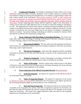14. **Loading and Unloading**. No loading or unloading of trucks, trailers, drop storage containers, construction debris containers, dumpsters, vans or similar vehicles or containers shall be permitted in Indigo East during non-daylight hours or on Sundays or legal holidays without the prior written consent of the Association. Drop storage containers, PODS, or other similar type units (such as dumpsters for remodel) may only be placed in the driveway, and for up to 72 hours. All other time frames and locations must be approved with prior written consent from the Association. Anyone requesting such consent shall be required to apply to the Association, in writing, not less than forty-eight (48) hours prior to the date on which the loading or unloading is to occur. The application for consent must contain a statement showing reasonable cause for the consent to be granted and must also contain the names, residence addresses and driver's license numbers of all persons who will enter Indigo East for the purpose of loading or unloading any vehicle or container. Any person loading or unloading any vehicle or container in violation of this rule shall be considered to be trespassing in Indigo East.

15. **Owner Audio and Video Recording at Association Meetings.** Any Owner may make audio and/or video recordings of meetings of the Board of Directors, committee meetings, or Owner meetings, subject to the following restrictions:

(a) **Distractions Prohibited**. The only audio and video equipment and devices which Owners are authorized to utilize at any such meeting is equipment which does not produce distracting sound or light emissions.

(b) **Placement of Equipment**. Audio and video equipment shall be assembled and placed in position not less than sixty (60) minutes in advance of the commencement of the meeting.

(c) **Stationary Equipment**. Anyone videotaping or recording a meeting shall not be permitted to move about the meeting room in order to facilitate the recording.

(d) **Notice of Recording**. Advance written notice shall be given to the Board of Directors no less than twenty-four (24) hours prior to the Board meeting by any Owner desiring to utilize any audio or video equipment at the meeting.

#### 16. **Owner Inspection of the Official Association Records**, Records Requests.

(a) **Inspection Requests**. All requests for inspection of the official records of the Association shall be in writing.

(b) **Notice of Inspection Request**. All requests for inspection of the records or requests for copies of records shall be delivered to the Association at the address specified by the Governing Documents either by personal delivery or by certified mail.

(c) **Date and Time of Inspection**. The inspection shall occur at a date and time acceptable to the Association, but, unless a later date is requested or agreed to by the Owner, not later than the tenth  $(10<sup>th</sup>)$  business day after the receipt by the Board or its designee of the written request for inspection. The Owner may suggest alternative dates and times for the requested inspection for consideration by the Association.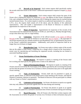(d) **Records to be Inspected**. Each written request shall specifically outline the records which the Owner or the Owner's authorized representative requests to inspect or obtain copies.

(e) **Owner Information**. Each written request shall contain the name of the Owner who is making the request for inspection or copy, the address of that Owner's Residential Unit, and a telephone number where the person who is making the request may be reached during normal business hours. If a written request is made by an authorized representative (i.e., attorney, C.P.A., etc.), the request shall contain all of the above, plus the identity of the authorized representative. This will enable a representative of the Board of Directors to confirm the appointment for inspection of the records.

(f) **Hours of Inspection**. Appointments for inspection of the records of the Association must be made between the hours of 10:00 a.m. and 4:00 p.m., Monday through Friday, except when these days fall on a legal holiday.

(g) **Limitations**. Inspection of the official records or for copies of Official Records of the Association shall be limited to no more than one (1) request or the equivalent of one 8-hour business day per calendar month for each Residential Unit, as represented by the Owner or the Owner's authorized representative. Additionally, each period of inspection shall be no longer than two (2) hours in length.

(h) **Reproduction Costs**. An Owner may make or obtain copies of the records that are the subject of that Owner's inspection for a charge which is based on the Association's actual costs for reproducing and furnishing the requested records, including but not limited to associated handling expense.

#### 17. **Owner Participation at Owner Meetings.**

(a) **Written Request**. All requests to speak at a meeting of the Owners shall be in writing and shall specify the agenda item or items to be addressed.

(b) **Notice of Participation Request**. All requests to speak at a meeting of the Owners must be received by the Association at the address specified by the Governing Documents not less than the greater of seventy-two (72) hours or three (3) business days prior to the applicable Owner meeting.

(c) **Topic of Participation**. Owners shall only be permitted to speak on specific agenda items, as reflected in the posted notice of the meeting of the Owners, and shall be limited to comments, opinions or questions. The Board of Directors will not participate in a debate with any Owner or Owner's representative.

(d) **Limitation on Participation**. An Owner who desires to speak on an agenda item may only address the particular agenda item one time during each meeting.

(e) **Length of Participation**. An Owner who desires to speak on an agenda item or items may speak for a cumulative maximum time of three (3) minutes during each meeting.

(f) **Board Discussion**. After all Owners who filed their written requests with the Association on or before the greater of seventy two (72) hours or three (3) business days prior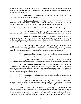to the meeting have had an opportunity to speak on the particular agenda item which was contained in the written request, the Board may discuss that item and said discussion shall be without interruption from the floor.

(g) **Recognition by Chairperson**. Participants must be recognized by the Chairperson before being permitted to speak.

(h) **Prohibited Activities**. Shouting, profanity or comments of a slanderous or derogatory nature, or otherwise disrupting the meeting, shall not be permitted. Participants engaging in this type of conduct are subject to any and all available legal remedies.

#### 18. **Owner Participation at Board of Directors and Committee Meetings.**

(a) **Written Request**. All requests of Owners to speak at a Board of Directors or committee meeting shall be in writing and shall specify the agenda item or items to be addressed.

(b) **Notice of Participation Request**. All requests to speak at a Board of Directors or committee meeting shall be received by the Association at the address specified by the Governing Documents not less than the greater of twenty-four (24) hours or one (1) business day prior to the Board of Directors or committee meeting.

(c) **Topic of Participation**. Owners shall only be permitted to speak on specific agenda items, as reflected in the posted notice of the Board of Directors or committee meeting, and shall be limited to comments, opinions or questions. The Board of Directors or committee will not participate in a debate with any Owner or Owner's representative.

(d) **Limitation of Participation**. An Owner who desires to speak on an agenda item may only address the particular agenda item one time during each meeting.

(e) **Length of Participation**. An Owner who desires to speak on an agenda item or items may speak for a cumulative maximum time of three (3) minutes during each meeting.

(f) **Board or Committee Discussion**. After all Owners who filed their written requests with the Association on or before the greater of twenty-four (24) hours or one (1) business day prior to the meeting have had an opportunity to speak on the particular agenda item which was contained in the written request, the Board or committee may discuss that item and said discussion shall be without interruption from the floor.

(g) **Recognition by Chairperson**. Participants must be recognized by the Chairperson before being permitted to speak.

(h) **Prohibited Activities**. Shouting, profanity or comments of a slanderous or derogatory nature, or otherwise disrupting the meeting, shall not be permitted. Participants engaging in this type of conduct are subject to any and all available legal remedies.

19. **Signs**. Each Residential Unit may identify its Occupants by a name plate of a type and size approved by the Association or its designee and mounted in a place and manner so approved. No signs, advertising, or notices of any kind or type whatsoever, including but not limited to "Political" "Garage Sale", "Yard Sale", "For Rent" or "For Sale" signs as to any Residential Unit, vehicle or personal property, shall be permitted, posted or displayed in a manner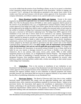so as to be visible from the exterior of any Dwelling or Home, on any Lot or parcel, or elsewhere in the Community without the prior written approval of the Association. Stickers or signage, not to exceed 2" by 6", advising of the following are permitted in the nearest lower corner of the window near front and back entrance with the prior written approval of the Association: alarm company information, surveillance cameras in use, special needs such as oxygen in use.

20. **Direct Broadcast Satellite Dish (DBS) and Antenna**. Except to the extent required to be permitted by applicable laws, no exterior visible radio masts, towers, poles, aerials, DBS, Over-The-Air-Reception Device (OTARD) or other similar equipment shall be placed on the exterior of any Residential Unit, Lot, or Neighborhood Common Property without the prior written approval of the Indigo East ARB. Each Owner agrees that the location of such items must be first approved by the Indigo East ARB in order to address the structural safety of such items for the welfare of residents of Indigo East Community (including an evaluation of whether such item may pose a structural or fall hazard to adjoining Lots). The Indigo East ARB's approval of the installation of any such item or device shall not be construed as any opinion, representation, warranty or guarantee as to the structural safety or soundness of same, nor shall the Indigo East ARB's approval be deemed to provide any opinion, representation, warranty or guarantee with respect to potential hazards to health or safety caused by any such item or device. Installation, maintenance, and use of all antennas shall comply with the Architectural Review Board Planning Criteria adopted by the Board and shall be governed by the then current rules of the Federal Communications Commission (FCC) and **must comply with all requirements and permitting of the Florida Building Code and any and all applicable government bodies**. The Indigo East ARB, the Declarant, the Association, or any person acting on behalf of any of them, shall not be liable for any cost, injuries or damages incurred by any Owner or Builder or any other party whatsoever, due to any antenna, radio masts, towers, poles, aerials, DBS, or other similar equipment placed on any Home, Lot, or Neighborhood Common Property. The foregoing shall not have the effect of prohibiting or limiting Declarant, the Association, and their respective designated licensees, from installing antennas, masts, or other equipment for security, cable television, satellite receiving facilities, mobile radio, wireless networking, or other similar system within Indigo East Community.

21. **Clotheslines**. Prior to the erection or installation of any clothesline on any Residential Unit, the Owner or occupant of that Residential Unit shall obtain from the Association written approval of the proposed location of the clothesline in order to permit the Association to minimize the negative aesthetic impact of such clothesline on adjacent properties and streets; provided, however, the Association shall not exercise its approval authority in any manner which has the effect of prohibiting clotheslines on any Residential Unit.

22. **Hurricane Shutters**. The Board of Directors shall, from time to time, establish hurricane shutter specifications that comply with the applicable building code, and establish permitted colors, styles, materials and installation standards for hurricane shutters. Subject to the provisions herein, the Association shall approve the installation or replacement of hurricane shutters conforming to the specifications adopted by the Board. The Board shall be entitled to amend the Specifications without notice for the purpose of remaining in compliance with all applicable building codes and manufacturer standards without notice to Owners.

Owners not present in their Residential Unit during hurricane season shall arrange to secure their Residential Unit (including outside patios) prior to a storm watch or warning and Owner shall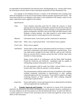be responsible for the Residential Unit after the storm, should damage occur. Owners shall contact the Association with the names of those individuals responsible for their Residential Unit.

Any damage to the building structure or interior of the Residential Unit resulting from either the installation of or the use of storm shutters shall be promptly repaired by the Owner. The Association shall have no obligation with respect to the installation of the shutters, and/or for the repair, replacement and/or upgrade of the shutters.

Specifications:

- Type: Track mounted removable panel that fit within the masonry or frame opening and tracks that are permanently anchored into the precast lintel and filled masonry units flanking a window opening; or track mounted rollaway shutters permanently attached to the precast lintel and filled masonry units flanking a window opening. Any other material or storm shutter system shall require specific written approval by the Association.
- Material: Galvanized metal, Lexan (clear), powder coated steel or aluminum.
- Panel Color: White, clear, or galvanized finish. Color shall be factory applied.
- Track Color: White, factory applied.
- Attachment: Anchor bolts or other means of attachment shall be non-ferrous or stainless steel and in conformance with shutter manufacturer's specifications. In no case shall anchor strength be less than 2,400 lbs. pull out and 1,500 lbs. shear for concrete lintel or column, and not less than 1,220 lbs. shear when installed in a frame opening.

Shutter system shall be in conformance with the Metro Dade Standards PA202-94, PA201-94 and PA203-94. Installation shall be capable of withstanding sustained wind speeds in excess of 120 mph.

No wall penetration shall be made into hollow concrete block or at any location other than within the masonry or frame opening.

All wall penetrations shall be sealed at the time of installation with urethane caulking compound conforming to (specification) or other caulking compound approved by the Association. Track shall be caulked at all edges contacting masonry or frame opening with white caulking compound conforming to (specification).

Inspection: Owner shall submit a review and inspection fee as determined by the Board with each application for modification.

23. **Transfer Approvals and Consents**. Any approval or consent of the Association required to be obtained by these Rules and Regulations may be granted, denied or conditioned, or for cause withdrawn, by the Association in its sole and absolute discretion. In order to be effective, a transfer approval or consent of the Association must be written and signed by at least one (1) officer of the Association.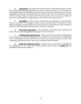24. **Enforcement**. The Association shall be entitled to collect from any person or entity that violates these Rules and Regulations any and all expenses incurred by the Association in enforcing these Rules and Regulations and in preventing, correcting or abating any such violation, including but not limited to reasonable attorney's fees and court costs. The Association may also seek the assistance of local law enforcement officials to prevent, correct or abate any violation of these Rules and Regulations or applicable laws, but it shall not be required to do so.

25. **Severability**. If any provision of these Rules and Regulations or the application thereof to any person or circumstance shall be invalid or unenforceable, the remainder of these Rules and Regulations and the application of such provision to all other persons and circumstances shall not be affected thereby and shall continue in full force and effect.

26. **Prior Rules Superseded**. These Amended and Restated Rules supersede and replace all prior rules and regulations promulgated by the Association.

27. **Exempt Entities and Properties**. Despite anything in these Rules and Regulations to the contrary, these Rules and Regulations do not apply to or bind Declarant, any Residential Unit or other property owned by Declarant, any CDD or any property owned by any CDD, or the Community Amenities Provider or any of the Community Amenity Property.

28. **Indigo East Planning Criteria**. The provisions of these Rules and Regulations are supplemented by the Indigo East Planning Criteria attached hereto as **Exhibit "B"** and incorporated herein by this reference.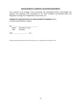#### **MANAGEMENT COMPANY ACKNOWLEDGEMENT**

In its capacity as the manager of the Community, the undersigned hereby acknowledges and approves the foregoing Sixth Amendment to the Third Amended and Restated Rules and Regulation of Indigo East Neighborhood Association, Inc.

#### **PARKWAY MAINTENANCE & MANAGEMENT MARION, LLC.,**

a Florida limited liability company

By:

 Name: Kenneth D. Colen Title: President

Date: , 20\_\_

Includes amendments approved by the Board of Directors at a meeting held on December 8, 2021.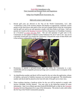#### Exhibit "A"

#### Sixth Fifth Amendment to the Third Amended and Restated Rules and Regulations of Indigo East Neighborhood Association, Inc.

#### PRIVATE GOLF CART RULES

1. Private golf carts are allowed in On Top of the World Communities, LLC. (the "Community") only if the owner(s) obtains and displays an appropriate, unaltered, current permit on the front driver side panel of the cart (see example below) from the Association and the golf cart and its use and operation comply with these Rules at all times. Golf cart permits are issued at the Resident Customer Services Department in Friendship Commons on a bi-annual or every two-year basis. The use and operation of golf carts in the Community are also subject to Marion County Ordinance No. 05-27 and 17-34. Any use of a privately owned golf cart outside the Community is beyond the scope of these Rules and is the exclusive responsibility of the owner(s).



- 2. Permission to operate a privately-owned golf cart within the Community is a nontransferable and non-assignable personal privilege and is available only to occupants of the Community.
- 3. An identification number and decal will be issued for the cart when the application, release of liability, and proof of liability insurance are received and approved. The identification number and decal shall be placed on the front left side of the golf cart in clear view.
- 4. Those residents desiring a handicap sticker for the cart will be required to comply with Section 320.0848, *Florida Statutes*. You may refer to the following website for more information: http://www.flhsmv.gov/dmv/forms/BTR/83039.pdf or drop by the Customer Resident Services Department for a copy of the information. The sticker is only valid within the On Top of the World Communities property.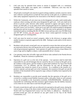- 5. Golf carts may be operated from sunset to sunrise if equipped with, at a minimum, headlights, brake lights, turn signals, and a windshield. Otherwise, carts may only be operated from sunrise to sunset.
- 6. All privately owned golf carts must be in good working condition, include a rearview mirror and a reflector warning device in both the front and rear of the golf cart, in addition to any other safety equipment required by the Association or the Marion County ordinance.
- 7. Within the Community, all carts must stay on the designated cart paths, multi-modal paths, roadways where existing, and other areas designated for golf carts. Golf carts shall not be driven in private yards, between villas (unless operated in ingress and egress areas) or homes, on sidewalks, or on any golf course unless playing golf and are in compliance with the Golf Course Cart Use Policy. When not in use, golf carts shall be parked in designated parking areas and not on grass or sidewalks. Golf carts may not be operated on any county maintained roadway including SR 200, SW 80th Avenue and may only cross SW 80th Street and SW  $80<sup>th</sup>$  Avenue, SW  $90<sup>th</sup>$  Street and any future county-approved crossing at the designated golf cart crossing points.
- 8. Golf carts must be stored on owner's property, either in the driveway or garage unless another location is expressly approved by the ARB. Parking in yards and/or on the street is prohibited.
- 9. Residents with privately owned golf carts are required to ensure that their private golf carts are restricted to drivers who will operate the cart in a safe, prudent manner and in accordance with all governmental regulations. Each operator of a golf cart must be at least fifteen (15) years of age and be eligible to obtain a valid automobile driver's license.
- 10. Cart operators must obey all traffic signs and all driver rules outlined in the Florida Drivers Handbook. Please be courteous to pedestrians.
- 11. Operation of a golf cart is at the risk of the operator. Cart operators shall be held fully responsible for any and all damages that are caused by the use or misuse of the golf cart by the resident or their guests, and the resident or guest shall reimburse On Top of the World Communities, LLC, its affiliates, and the Association for any and all damages the Community may sustain by reason of use or misuse. As a condition to the issuance of a permit to operate a private golf cart in the Community, the owner(s) of the golf cart and all members of the household will be required to sign a release of liability form required by the Association.
- 12. Residents are responsible to provide proof annually that the operation of the golf cart is covered by a resident-owned liability insurance policy with policy limits in such amounts as may be acceptable to the Association (currently, \$100,000/\$300,000). Residents are responsible for confirming with their insurance agent/company that the liability insurance covers them for use other than to and from the golf course.
- 13. Privately-owned electric golf carts are allowed to be operated on the golf course, during the course of play, as long as the above-stated conditions are followed, and the On Top of the World Golf Cart Programs/Golf Course Cart Use Policy is adhered to. Absolutely no privately-owned gas carts are allowed on any golf course at On Top of the World Communities, LLC.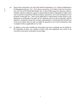- 14. None of the Associations, On Top of the World Communities, LLC, Parkway Maintenance & Management Marion, LLC., SCA Marion Amenities, LLC Sidney Colen & Associates, Ltd., On Top of the World Real Estate, Inc. or any of their respective directors, officers, members, partners, employees, agents or representatives shall be responsible or liable in any way to anyone in connection with the existence, operation or use in the Community of any privately owned golf cart. None of the publication or enforcement of these Rules or any inspection or permitting of any golf cart for operation and use in the Community shall be deemed or construed to create any warranty, representation or certification that the golf cart is free of any defect, that it is safe or suitable for operation or use in the Community or that it complies with any applicable law or code.
- 15. In addition to any other remedies the Association may have, including, but not limited to, the imposition of fines, any violation of these rules and regulations may result in the revocation of privately owned golf cart privileges.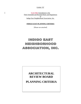Exhibit "B"

Sixth Fifth Amendment to the Third Amended and Restated Rules and Regulations of Indigo East Neighborhood Association, Inc.

#### **INDIGO EAST PLANNING CRITERIA**

[Please see attached]

## INDIGO EAST **NEIGHBORHOOD** ASSOCIATION, INC.

## **ARCHITECTURAL REVIEW BOARD**

**PLANNING CRITERIA**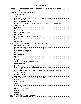#### **Table of Contents**

| INDIGO EAST ARCHITECTURAL REVIEW BOARD PLANNING CRITERIA 1                   |  |
|------------------------------------------------------------------------------|--|
|                                                                              |  |
|                                                                              |  |
|                                                                              |  |
|                                                                              |  |
|                                                                              |  |
|                                                                              |  |
|                                                                              |  |
| Games, Play Structures, Outdoor Cooking Appliances, Portable Furniture 4     |  |
|                                                                              |  |
|                                                                              |  |
|                                                                              |  |
|                                                                              |  |
|                                                                              |  |
|                                                                              |  |
|                                                                              |  |
|                                                                              |  |
|                                                                              |  |
|                                                                              |  |
|                                                                              |  |
|                                                                              |  |
|                                                                              |  |
|                                                                              |  |
|                                                                              |  |
|                                                                              |  |
|                                                                              |  |
|                                                                              |  |
|                                                                              |  |
|                                                                              |  |
|                                                                              |  |
|                                                                              |  |
|                                                                              |  |
|                                                                              |  |
|                                                                              |  |
| Direct Broadcast Satellite Dish (DBS), Over-the-Air-Reception Device (OTARD) |  |
|                                                                              |  |
|                                                                              |  |
|                                                                              |  |
|                                                                              |  |
|                                                                              |  |
|                                                                              |  |
|                                                                              |  |
|                                                                              |  |
|                                                                              |  |
|                                                                              |  |
|                                                                              |  |
|                                                                              |  |
|                                                                              |  |
|                                                                              |  |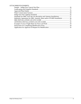### ATTACHMENTS/EXHIBITS

| Indemnity Agreement for DBS, Antenna, Mast and/or OTARD Installation  30 |  |
|--------------------------------------------------------------------------|--|
|                                                                          |  |
|                                                                          |  |
|                                                                          |  |
|                                                                          |  |
|                                                                          |  |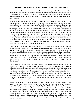#### **INDIGO EAST ARCHITECTURAL REVIEW BOARD PLANNING CRITERIA**

It is the intent of these Planning Criteria to help assure that Indigo East will be a community of quality homes and buildings with tasteful and aesthetically pleasing architectural designs that are harmonious with surrounding structures and topography. These Planning Criteria promote the use of long-lasting materials and high standards of construction for buildings, landscaping and other improvements.

Pursuant to the Declaration of Covenants, Conditions and Restrictions for Indigo East (the "Neighborhood Declaration"), On Top of the World Communities, LLC. (the "Declarant") has appointed the Board of Directors of the Neighborhood Association to serve also as the Indigo East Architectural Review Board (also referred to as the "Architectural Review Board", the "Board" or the "Indigo East ARB"). It is the function of the Indigo East ARB to review and approve or disapprove plans for any proposed construction or alteration of any improvements within Indigo East. The Neighborhood Declaration has granted the Indigo East ARB broad discretionary powers regarding design, construction and development, including architectural style, colors, textures, materials, landscaping, overall impact on surrounding property, and other aesthetic matters. These Planning Criteria set forth the standards adopted by the Board to promote improvements that are aesthetically compatible with each other; to encourage simple elegance in architectural character; and to ensure that improvements are designed and constructed in a manner that reflects the quality and permanence of a premiere residential community.

These Planning Criteria have been adopted pursuant to Article X of the Neighborhood Declaration in order to provide guidelines for builders and homeowners for new construction and for additions or modifications to any existing exterior improvements or landscaping. These Planning Criteria do not include all building, use and other restrictions associated with Indigo East. Accordingly, builders and homeowners should familiarize themselves with the provisions of all of the governing documents of both Indigo East Neighborhood Association, Inc. and Circle Square Ranch Master Association, Inc., as well as applicable laws and building codes. Particular attention should be paid to Article X of the Neighborhood Declaration, entitled "Architectural, Landscape and Site Plan Control."

The inclusion of any requirement in these Planning Criteria shall not preclude the Indigo East ARB's right to disapprove any proposed matter for any reason, and any prior approval by the Indigo East ARB shall have no precedential value or effect. The Indigo East ARB reserves the right to make exceptions and grant variances. These Planning Criteria do not apply to any Community Amenity Property, any property owned by Declarant while such property is owned by Declarant, or any Residential Unit owned by a licensed homebuilder while such Residential Unit is held for the purpose of constructing improvements thereon for resale. All terms used in these Planning Criteria that are defined in the Neighborhood Declaration shall have the meanings provided by the Neighborhood Declaration.

Neither the submission of an Application for Approval of Request for Modification or any proposed plan to the Indigo East ARB, or the review of any such Application or plan by the Indigo East ARB, shall constitute an approval by the Indigo East ARB. No work shall begin before the written approval has been received from the Indigo East ARB. Approval by the Indigo East ARB does not constitute approval by any public permitting agency, nor does it ensure that the proposed improvements will comply with any other applicable codes or standards or that the improvements constructed in accordance with the approved plans will be safe or suitable for the intended use. Marion County requires building permits for homebuilding and structural modifications, which will necessitate compliance with local and state building codes. In addition, before digging,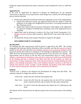Florida law requires all homeowners and/or contractors contact Sunshine 811 at 811 or 1-800-432- 4770.

#### **Appeal Process**

In the event an Application for Approval of Request for Modification for any proposed construction or alteration of any improvement within Indigo East is denied, the following appeal process shall be followed:

- 1. Written letter addressed to the Board of Directors requesting a review of the original denial.
	- a. Appeal letter shall state reasons why applicant believes that the request is within the guidelines of the Indigo East Neighborhood Association's Governing Documents and these Planning Criteria.
	- b. Appeal letter shall provide all necessary information which applies to the Application for Approval of Request for Modification, including a copy of the Application form as submitted.
- 2. Appeal letter shall be delivered or mailed to On Top of the World Communities, LLC. Resident Customer-Services office located at: 9850 SW 84<sup>th</sup> Court, Suite 5200, Ocala, FL 34481.
- 3. The Board has 30 days from receipt of the letter to respond to the appeal.

#### **SITE IMPROVEMENT STANDARDS**

#### **Site Placement**

All buildings and other improvements shall be placed as approved by the ARB. The existing topography and landscape shall be disturbed as little as possible, such that the required maximum number of desirable trees and other natural features required by the community standards will be preserved and that there shall be no disruption of site drainage on adjoining lots or parcels. The ARB will review the proposed location of all improvements on the site prior to lot clearing. (All improvements must be shown on the Site Plan with measurements drawn to scale). Building additions, swimming pool installations, patios and other construction modifications shall be placed on the building pad that is outlined in the Major Site Plan for the property on which the improvement is being constructed. Pools which extend beyond the existing building pad shall require a site drainage certification from a Civil Engineer licensed to practice in the State of Florida. Also reference "Pools" on page 74 of the Standards. The property owner shall complete all of the required maintenance and repair work as denoted by the Engineer.

#### **Setbacks**

"Setback Line" is defined in the Planned Unit Development for Indigo East (the PUD). The minimum setbacks for Indigo East shall be as follows:

- Front Yard twenty feet (20') from the front property line.
- Rear Yard twenty feet (20') from the rear property line; ten feet (10') for swimming pools, screened enclosures, get wet pools, hot tubs, patios and porches.
- Side Yard five feet (5') from the side property line; fifteen feet (15') abutting any side street.

All setbacks will be measured from the adjacent property line to the nearest point of the dwelling unit.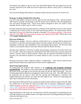All setbacks must adhere to the On Top of the World PUD Master Plan and Indigo East and any variances approved by the ARB must also be approved by Marion County prior to commencing any work.

Zero lot line dwellings shall maintain a minimum setback between structures of ten feet (10').

#### **Drainage, Grading, Finished Floor Elevation**

Lots have been graded consistent with the approved Site Development Plan. Special attention shall be given to proper site drainage so that site runoff will not interfere with surrounding home sites and natural drainage flows. Paved areas shall be designed to allow site runoff to drain naturally and not to allow water to collect or stand.

Site plans shall show physical improvements or elements of the landscape or terrain, which control or determine the location or flow of site runoff and drainage patterns. No improvements shall be made that will negatively affect the site grade or drainage to surrounding properties. without prior approval of the ARB. Any improvements require prior approval of the ARB. Please refer to the ARB **Sample Modification Form.** 

#### **Driveways/Walkways**

Parking spaces, garages, curb cuts, walkways and the driveway to a garage shall be planned and executed in an attractive and functional manner and shall consider the location of existing trees, topography, streetscape and compatibility with surrounding improvements. NO driveway shall connect to any internal collector road unless allowed under the Master Site Plan.

All home sites shall have a driveway of stable and permanent construction of at least twelve feet (12') in width. Unless prior approval is obtained from the ARB, all driveways must be constructed of brick, concrete, stone, or similar material. When curbs are required to be broken for driveway entrances, the curb shall be repaired in an orderly fashion in such a way that is acceptable to the ARB.

Painting of driveways and/or walkways requires a modification. Color must be selected from approved Paint Palette and complement the home and the neighborhood.

#### **Street Front Improvements**

All landscaping and irrigation shall conform to the **Landscape and Irrigation Standards attached herein**. The builder or owner shall install and maintain landscaping and irrigation within the portion of the road right-of-way between the home site and the edge of pavement. This area of landscaping shall be defined by extending the side lot lines to the street. The ARB shall review the landscape and site plan to check that tree spacing and landscaping is consistent with neighboring home sites and they are within the street right-of-way. Please see Landscaping and Open Space Standards for more information**.** 

Sod replacement shall match the pre-existing sod material unless otherwise approved by the ARB. The sodded area of the home site shall be provided with an automatic underground irrigation system. Irrigation systems are inspected by Bay Laurel Center Community Development District ("BLCCDD") at the time of completion. Changes to the irrigation system must be in compliance with the BLCCDD Uniform Service Policy.

Upon development of the home site, the homeowner shall be responsible for maintaining the sod and landscaping in an acceptable manner to the edge of pavement, including planting and irrigation within the road right-of-way.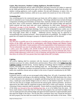#### **Games, Play Structures, Outdoor Cooking Appliances, Portable Furniture**

All basketball backboards and any other fixed games and plays structures are subject to approval by the ARB and shall be located at the side or rear of the building not visible from the street. All outdoor cooking appliances, such as grills, smokers, fire pits and chimeneas, to name a few, as well as portable outdoor furniture, while not in use, needs to be stored out of view of the street.

#### **Swimming Pool**

Any swimming pool to be constructed upon any home site will be subject to review of the ARB prior to submittal to any County permitting authority. The design submittal must include all design components including parcel boundary set-backs lines, materials, finishes and colors for the pool, pool deck, fence, screen enclosure, additional landscape bed with uniform hedge and approved mulch material and must meet state and county regulations for child safety. Reference "Site Placement" on page 2 of the Standards. All pools must be enclosed by a screened enclosure surrounded by approved landscape plantings, form a uniform hedge appearance within one (1) year of planting; and thereafter be maintained at not less than twenty-four inches (24") nor greater than forty-eight inches (48") in height. Additional privacy fencing may be approved to surround/border the screened enclosure. Above ground pools are prohibited. No changes to final grade that will impede the drainage to property or adjacent properties will be allowed.

#### **Hot Tubs**

Any Hot tubs or portable spas to be constructed or installed upon any homesite will be subject to review of the ARB, and must be in conformance with Florida Statutes and Marion County ordinances for child safety. County permits will be the responsibility of the homeowner to obtain. The hot tub/portable spa must be installed within a screened enclosure, fenced enclosure or have a safety cover that complies with ASTM F1346-91. All hot tubs (enclosed or not) must be surrounded by approved landscape plantings in a minimum three (3) foot landscape bed, form a uniform hedge appearance within one (1) year of planting; and thereafter be maintained at not less than thirty-six inches (36") nor greater than forty-eight inches (48") in height.

#### **Lighting**

All exterior lighting shall be consistent with the character established and be limited to the minimum necessary for safety, identification and decoration. Please refer to the **Indigo East Site Lighting Criteria** attached herein**.** Exterior lighting of buildings shall be limited to concealed fixtures with bulbs not visible off the building home site. No floodlights will be permitted in Indigo East. No lighting of outdoor recreational facilities is permitted other than swimming pools, unless site conditions warrant and are subject to the review of special consideration by the ARB.

#### **Fences and Walls**

In general, fences or walls are not encouraged within Indigo East. All walls, if permitted, shall be of the same material and design as the adjacent building. When the ARB determines that a fence or wall is deemed to be unnecessary or unsightly and detracting from the visual value of common areas, a landscape screen (buffer hedge) in lieu of a fence or wall shall be required. No fence or wall over four feet (4') in height, measured from the natural grade, shall be permitted. All fences, approved by the ARB, shall be comprised of green chain link or white vinyl material. No fences consisting of lattice materials shall be permitted. Fences shall not extend beyond the side borders of the home nor forward of the rear building base line, so as to be hidden from the street. All fences shall remain at least three feet (3') from the back property line and shall be hidden from view by landscape bed with uniform hedge and approved mulch material or approved buffer plants that equal the height of the fence. The lots that abut a perimeter fence may extend the fencing to the back property line but shall not extend the fence beyond the side borders of the home. Plants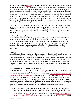must be on the **Approved Buffer Plant Palette**, and planted at time of fence installation, and must be installed no more than four feet (4') from fence in an approved landscape bed with approved mulch material. Said plants shall be at least two feet (2') in height at installation; attain a height of three feet (3') and form a uniform hedge appearance within one (1) year of planting. Thereafter, all buffer hedges shall be maintained at not less than thirty-six inches (36") nor greater than fortyeight inches (48") in height. Fences should not enclose or define property lines of individual homes. Invisible fences shall follow set back rules for sides and backs of lots and not enclose or define property lines of individual homes. Invisible fences shall not extend forward beyond the back corners of the home. Invisible fences installed on zero lot line home sites must be at least five feet (5') off the side property line.

The ARB has the right to deny fence and/or wall applications that detract or impair the view of other home sites that sit on premium lots; such as golf course, preserves, drainage retention areas ("DRAs"), etc. as measured by a forty-five degree  $(45<sup>o</sup>)$  angle from the center point of the back of the neighbors' adjacent dwellings. Please refer to **Example of Line of Sight Rules for Fence and Wall**.

#### **Buffer and Privacy Hedges**

Hedges shall be maintained, if backing up to any roadway, at a height not to exceed twelve feet (12'), and on rear property line at a height not to exceed eight feet (8') with a setback of five feet (5'). Buffer hedges on side property lines may not extend past the furthest point of rear wall of the home and shall be maintained not higher than eight feet (8') with a setback of five feet (5'). All other buffer hedges must be maintained at four feet (4') in height. Hedges that block premium lot views may be denied. Hedges may not negatively impact drainage nor interfere with utilities.

#### **Mail Boxes**

All mail boxes and stands shall be of a design approved by the ARB, shall include no more than the surname and house number of the resident and shall be located at the street front of each home site as prescribed by the United States Postal Service. The builder shall provide and install the mailbox by developer specifications. The mailbox specifications approved for Indigo East are for all aluminum, white, heavy-duty rural United States Postal Service approved. Please refer to **[www.otowinfo.com](http://www.otowinfo.com/)**, Indigo East/Community Standards/Mailboxes for link to **[Mailboxes.com -](http://www.mailboxes.com/product.asp?catalog%5Fname=Mailboxes&category%5Fname=Heavy+Duty+Rural+Mailboxes&product%5Fid=442&Related_Product=&sCondition=&Previous=yes) [Product](http://www.mailboxes.com/product.asp?catalog%5Fname=Mailboxes&category%5Fname=Heavy+Duty+Rural+Mailboxes&product%5Fid=442&Related_Product=&sCondition=&Previous=yes)**.

#### **Lawn Furnishings, Ornaments and Accessories**

Birdbaths, bird houses, bird feeders, frog ponds, lawn sculptures, plant pots, rocks, rock gardens, garden/yard bannerssigns, hanging live plants, shepherd's hooks, wind chimes and other types of lawn furnishings, ornaments and accessories on any home site shall comply with the community rules, regulations and standards, and requires prior approval of the ARB. In general artificial plants and lattice are not permitted. Designs and styles shall be aesthetically pleasing and shall recognizably complement, or acceptably contrast with, the immediate surroundings. All lawn furnishings, ornaments and accessories shall be secured or removed as necessary when threats of severe weather are forecasted. Lawn furnishings, ornaments and accessories that have been approved by the ARB may be installed only in conformity with the following criteria:

a. Lawn Furnishings: Only one (1) large item over eighteen inches (18") in height and two (2) small items under eighteen inches (18") in height are permitted to be installed in front yards (oversized statues or other similar items are not one-size-fits-all and may be disapproved). A single shepherd's hook counts as a large item with a limit of four  $(4)$ hooks each and one (1) item per hook. Each bird house, bird bath, bird feeder and large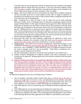rock shall count as one (1) large item (with the exception that rocks included in the original landscape shall be exempt from this provision). A one story bird house eighteen inches (18") in height or smaller, single bird bath, and single bird feeder may be installed in the front or back yard as long as no other ornaments or pots are added.

- b. Rocks: Only one (1) large rock not to exceed thirty-six inches (36") in height or diameter and two (2) small rocks not to exceed eighteen inches (18") in height or diameter are permitted to be installed in front yards as long as placed within a designated landscape bed (oversized rocks may be disapproved).
- c. Pots: Groupings up to three (3) small or one (1) large and two (2) small matching, decorative ceramic, stone, or fiberglass flower or plant pots containing live plants from the Approved Plant Palette or other approved plants may be approved within landscape beds. Small pots are defined as not more than a sixteen inch (16") circumference at the top of pot and large pots are defined as not more than a thirty inch (30") circumference at the top of the pot. Additional flower or plant pots may be approved if buried within the landscape beds. Flower and plant pots are not allowed on walkways, on lawns or driveways and may not be attached to the exteriors of any dwelling units. One decorative pot may be approved on each side of the garage door opening and each will count toward the total pots allowed. Pots that become damaged or unsightly must be removed.
- d. Back yards fall under the same standards. Applications for approvals to place lawn furnishings, ornaments and accessories within side yards must be properly sized and in proportion for the location, and will be considered on a case-by-case basis.
- e. Hanging Plants: Up to three (3) wind chimes, hanging pots containing live plants, or any combination thereofof two (2) live plants and one (1) wind chime, may be added to the porch area. One (1) hanging live plant, attached to a tree, in an approved manner that does not result in damage to the tree, may be permitted. Wind chimes considered to be a nuisance, may be required to be removed.
- f. No lawn furnishings, ornaments or accessories may be placed in any common area.
- g. Outdoor furniture (designated for outdoors) properly sized and in proportion for the location may be approved. Barbeque grills may not be stored or utilized on the front porch of dwelling.
- h. Trellises. Trellises and Arbors not to exceed forty eight (48") inches in width, twenty-four  $(24)$  inches in depth, and eighty-four  $(84)$  inches in height are allowed in front and back yards and shall not be attached to the structure. Larger trellis and Arbors in proportion for the location may be considered in back yards. One (1) trellis may be installed in a landscaped bed in the front yard and one (1) trellis in a landscaped bed in the back yard. Trellises in side yards will be considered on a case by case basis. No fence panels or lattice panels may be used as a trellis. One (1) trellis is considered one (1) large item.

#### **Flags**

No flag may be displayed on any lot or dwelling except as follows:

- a. One (1) portable, removable official United States flag, or official flag of the State of Florida, not larger than  $4-1/2$  feet by 6 feet, and additionally one (1) portable, removable official flag of the State of Florida or which represents the United States Army, Navy, Air Force, Marines, or Coast Guard, or a POW-MIA flag, may be displayed at any time.
- b. With ARB approval, one (1) seasonal flag may be displayed during the applicable season only.
- c. With ARB approval, one (1) sports flag may be displayed on game day only.
- d. Flags must be displayed either on a flagpole that meets the requirements set forth below or is otherwise acceptable to the ARB, or on a mounting bracket and flag staff or mast affixed to the dwelling which have been approved by the ARB as to specifications and location.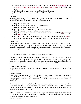- e. Any flag displayed together with the United States flag shall not be largerbe equal -in size or smaller than the United States Flag, and displayed lower higher than the United States flag.
- f. All flags shall be displayed in a respectful and tasteful manner.
- g. No other flags may be displayed without ARB approval.

#### **Flagpoles**

With ARB approval, one (1) freestanding flagpole may be erected on each lot for the display of permitted flags. Each flagpole shall meet the following criteria:

- a. flagpole shall be metal;
- b. flagpole shall be no more than twenty feet (20') high;
- c. flagpole shall be straight and vertical;
- d. flagpole shall not obstruct any sightline at any intersection;
- e. flagpole shall not be erected within or upon any easement;
- f. flagpole must be able to withstand wind speeds of at least one hundred thirtyen miles per hour  $(130 + 10$  mph); and
- g. the Owner shall have called Sunshine State One Call (1-800-432-4770) and haved them mark the locations of all underground utility lines prior to installation of the flagpole.

#### **Exterior Art**

Exterior Art must be approved by the ARB prior to installation. Generally, Exterior Art is only permitted inside foyer areas of the front entrance and areas not visible from the street. The acceptable standard shall include dimensional wall art, appropriate for the space. The Association reserves the right to deny installation of exterior art in its sole opinion.

#### **GENERAL BUILDING CONSTRUCTION STANDARDS**

Indigo East will be developed with a variety of Architectural Styles; the architect should be sensitive of existing structures and the adjacent environment. Designs shall recognizably complement or acceptably contrast with its immediate surroundings. Restraint and Durability in design and material selection shall form the basis for acceptance by the ARB.

#### **Minimum Building Size**

All dwelling units within Indigo East shall have designs with a minimum of 950 SF of airconditioned space.

#### **Exterior Materials**

Finish colors shall be applied consistently to all sides of the exterior of buildings. Recommended materials shall be stucco or similar cementitious products of neutral colors such as whites to beige and light grays. Brick and stone may be used as accents. Simulated brick or stone shall be permitted.

Finish materials shall be applied consistently to all sides of the exteriors of the buildings. Recommended materials shall be stucco and stone or similar simulated products. Wood and brick shall be allowed in limited areas only. Metal or vinyl siding is prohibited. Sample materials may be requested by the ARB for review.

Exterior materials are expected to be durable and capable of maintaining acceptable appearance for the conditions that exist at Indigo East. All materials proposed for exterior use shall be approved by the ARB prior to construction.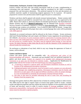#### **Fenestration, Enclosures, Exterior Trim and Decoration**

Exterior window and door trim and similar decorations shall be of same, complementing or contrasting color and material. Compatibility shall be considered by the ARB in accepting proposed trim and decoration alterations. The preferred material for trim and decorations are synthetic materials capable of maintaining original appearance for its exposure. All material proposed for exterior trim and decoration shall be approved prior to construction.

Windows and doors shall be glazed with missile resistant laminated glass. Shutter systems shall require prior approval and shall be concealed from view when not in use or as approved by the ARB. Please refer to Rule 21. Hurricane Shutters for detailed specifications**.** The Storm/Hurricane Shutter Systems and list of **[Shutters/Contractors](http://www.otowinfo.com/Approved_Shutters.pdf)** may be obtained from Resident Customer Services located at Friendship Commons or viewed at [www.otowinfo.com.](http://www.otowinfo.com/) Aluminum awnings and jalousie-type windows are prohibited. Use of reflective glass shall be limited. Garage door openings shall be designated with proper door units; screened garage door units will be permitted with ARB approval.

Absolutely no screened enclosures shall be allowed on the fronts of homes. Screen enclosures shall meet Florida Building Code and comply with Marion County regulations for permitting and site setbacks. All sections of screen enclosures shall be constructed of screening material with a three (3) foot wide landscaped barrier. Fitted outdoor acrylic or polyester fabric may be used on the roof section as a weather barrier. The fabric must be replaced when fraying, or wear and tear occurs. No lattice fencing or other items that do not fit with the character of the community are allowed inside the screened area.

No enclosures or alterations of any kind, which in any way change the appearance of fronts of homes, will be allowed.

#### **Gutters and Down Spouts**

Gutters and down spouts shall be compatible with— the architecture and colors of the housesurrounding wall surfaces. Aluminum and pre-finished vinyl are preferred materials for gutters and down spouts. Gutters are required to be installed with underground downspout extensions to an open area not directed to common swales. -Application for Modification for gutters must indicate the location of the downspoutsmeet the following guidelines:.

- a) A drawing is required to indicate gutter and downspout installation locations as well as location of the underground downspout extensions.
- b) Underground gutters and extensions, must be located in such a manner as to not adversely affect drainage onto neighboring properties. Downspout extensions must be buried, and directed to an open space with an approved diffuser attached, to allow for proper drainage. It is not recommended to terminate the downspout extension between homes.
- c) Site plan or plat must be included indicating the end of water flow and including the distance from the property line.

Drainage from gutters shall not affect adjacent lots or homes by creating washout or other erosion. The ARB reserves the right to require repair of erosion from gutter runoff in swales, common swales and adjacent properties and may require the removal of gutters in non-essential areas (sides of home and non-entry ways) in order to resolve erosion or drainage problems. which is a homeowner responsibility. Leaf guards shall not be installed underneath the roofing shingle. Rain sensor must be relocated to operate properly.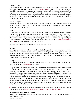#### **Exterior Colors**

The color palette for Indigo East shall be subdued earth tones and pastels. Please refer to the **[Approved Paint Palette](http://www.otowinfo.com/index.php?content=housecolors.php&back=returnlink.php)** available at the Resident Customer Services Department located at Friendship Commons. Any changes in the exterior colors made in future re-paintings shall be regarded as a "minor alteration or addition," subject to approval by the ARB. Samples and/or color chips of all exterior colors are required with final submittal. Paints shall resist chalking and fading for a 10-year cycle. The ARB may require repainting of materials that fail to maintain acceptable appearance.

#### **Building Heights**

Heights of buildings shall be compatible with adjacent buildings. The maximum height shall be thirty-five feet (35') from outer edge of roadway curbing, and not more than two stories, unless a variance is granted by the ARB.

#### **Roofs**

Flat roofs shall not be permitted on the main portion of the structure provided; however, the ARB shall have discretion to approve such roofs on the main body of a building if typical to that type of design. No built-up roofs shall be permitted, except on approved flat surfaces. The composition of all pitched roofs is high quality architectural grade shingles or cement tiles approved by the ARB. Please refer to the [House Color Palettes/Shingle colors,](http://www.otowinfo.com/index.php?content=housecolors.php&back=returnlink.php) available at the Customer-Resident Services Department located at Friendship Commons.

No metal roof extensions shall be allowed on the fronts of homes.

#### **Chimneys**

Any exposed portion of a chimney outside of the building shall be constructed solely of brick, stone or stucco. If the fireplace is a metal (self-insulated) type with a metal spark arrester at the top of the chimney, this arrester must have a cowling or surround of a material approved in advance in writing by the ARB and be a color approved by the ARB. Please refer to the ARB **Sample Modification Form attached herein.** 

#### **Garages**

All residential dwellings shall include a garage adequate to house at least two (2) but not more than four (4) large size American automobiles.

All garages shall be constructed of the same exterior materials and colors as the main structure. All garage doors (except service doors) shall be a minimum width of nine feet (9') for each automobile and operated by automatic door openers. Wherever possible, garage doors or service doors shall be located so they do not face the street. Garage doors should always be located where they are least visible to persons approaching the residence. When garage doors face the side home site line, screening from view by landscaping is required. Garage doors shall be constructed of a material that is similar in appearance to the exterior materials of the buildings, and the color of the garage doors shall be compatible with the color of other exterior finishes of the building. Garage doors, automatic door openers and service doors shall be maintained in a useful working condition and shall be kept closed when not in use.

No garage shall be converted to other usage without the substitution of another garage. Carports shall not be permitted. Garage door screens require prior approval from the ARB.

#### **Water Conserving Bathroom Fixtures**

Water closets shall be water conserving (low volume) models and all faucets and showers shall have flow restrictors.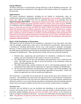#### **Energy Efficiency**

All homes shall meet or exceed Florida's Energy Efficiency Code for Building Construction. All plans and specifications submitted for final approval shall include evidence of compliance with this provision.

#### **Appurtenances**

All exterior mechanical equipment, including but not limited to, transformers, vents, air conditioning compressors, pool pumps, generators and generator cover assembly, water softeners, meters, etc., shall be concealed from view by approved placement or by plantings from the **Approved Buffer Plant Palette**. Appurtenances should not be readily visible from the street and consideration of neighboring homes and their respective window views must be given. Window air conditioner units are prohibited. All generators, if approved, shall only be tested between the hours of 10:00 AM and 4:00 PM and shall not exceed a fifteen (15) minute run-time duration within the testing period. In addition, generators shall only be operated during power outages. Water softeners are prohibited from discharging into the Community's sewer system. Propane tanks, if approved, shall be installed in accordance with Florida Building Codes and National Fire Protection Association Standards and must be screened from view by a fence and buffer plants as defined in Fences and Walls, or buried. Owner is responsible for all maintenance and removal of equipment when discontinued.

#### **Roof or Wall Attachments or Penetrations**

ARB approval must be obtained for the installation or placement of any solar panel, solar tube, solar fan, skylight, weathervane or other roof or wall attachment or penetration. Improvement of a dwelling by installing photovoltaic devices (e.g., solar panels) is generally encouraged. However, in order to protect the community and its residents from unsafe or unsightly installations, the ARB requires that detailed specifications be submitted along with the Application for Approval of Request for Modification. These specifications include, but are not necessarily limited to:

- a. Detailed plans, engineering and specifications for installation, including the location, number, type and composition of the systems or devices to be attached.
- b. The ARB prefers that roof and wall attachments and penetrations not be visible from the street. The ARB reserves the right to restrict the location of any installation within the limits of Florida applicable law.
- c. The ARB requires that a product brochure for roof or wall mounting equipment and all components be provided with the Application for Approval of Request for Modification.
- d. All roof and wall attachments and penetrations must comply with Florida Building Code (as amended from time to time) wind load design applicable for that product. Owner will submit the applicable rule with the modification application.

The homeowner is responsible for ensuring that all county permits have been obtained by the contractor. The dwelling owner shall cause each approved roof or wall attachment or penetration to be inspected at least once each year and to be continuously maintained, repaired, repainted and otherwise cared for so as to ensure that the attachment or penetration and any mounting materials remain intact and in good condition and that they do not become weather-beaten or unsightly.

#### **Accessory Uses**

Accessory uses are defined as any use incidental and subordinate to the principal use of the structure and located on the same lot. Accessory uses may include screened enclosures, porch extensions, garden buildings, generator and cover assembly, water softener, or any structure not built as an original component of the home. Accessory uses shall require the prior approval of the ARB. All generators, if approved, shall only be tested between the hours of 10:00 AM and 4:00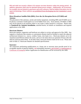PM and shall not exceed a fifteen (15) minute run-time duration within the testing period. In addition, generators shall only be operated during power outages. Additionally, all accessories, for example, but not limited to, generators and water softeners, shall be hidden from plain view by approved plantings. Water softeners are prohibited from discharging into the Community's sewer system.

#### **Direct Broadcast Satellite Dish (DBS), Over-the-Air-Reception Device (OTARD) and Antenna**

The placement of the antennas, aerials and similar equipment, including DBS and OTARDs are to be placed, screened or landscaped so as to be hidden from view. Such antenna, OTARDs or DBS may not be placed in any position where it can create a safety hazard to a structure. Please refer to **Standards for Antenna Installation**, attached herein, for details on installation and required applications to the ARB.

#### **Hurricane Shutters**

Hurricane shutters, supporters and hardware are subject to review and approval of the ARB. Any supports or hardware that remains as a permanent element shall be finished to match the adjacent architectural element (i.e.: stucco, window frame, trim band, etc.). Hurricane shutters are to be closed/secured 48 hours before the storm, and are to be taken down (or opened) 24 hours after the official watch has been lifted. At all other times, hurricane shutters shall not be in use. Please also refer to Rule 21. Hurricane Shutters for detailed specifications.

#### **Insurance**

All contractors performing modifications to a home site or structure must provide proof of an acceptable amount of general liability, and automobile insurance, and Worker's Compensation or Certificate of Exemption before Application for Modification will be reviewed by the ARB.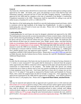#### **LANDSCAPING AND OPEN SPACES STANDARDS**

#### **General**

Any home site, which has been altered from its natural state, shall be landscaped according to plans approved by the ARB. All shrubs, trees, grass and plantings of every kind shall be kept well maintained, properly cultivated and free of trash and other unsightly material. Landscaping as approved by the ARB shall be complete at the time of submittal of the Builder's Construction Completion transmittal to the ARB. Homeowner shall be responsible for calling in any and all utility locates at Sunshine 811 at 811 or 1-800-432-4770.

The objective of the landscaping plan should be to provide landscaping around each home, which is consistent with the high standards of the Indigo East Neighborhood. In order to complete a landscaping plan, you will need to locate your site plan. Please refer to the **Typical Site Plan,** attached for your reference.

#### **Landscaping Plan**

A landscaping plan for each home site must be designed, submitted and approved by the ARB. The landscape plan must provide accurate documentation of home owner(s) intent, what the home owner will be removing and planting, for ARB review. Existing trees intended for removal should be shown and may not be removed without the prior approval of the ARB. The landscape plan shall indicate all plant types by common names, sizes, height, spread, caliper, and plant spacing. Under no circumstance shall a homeowner modification negatively impact or alter the grade or drainage flow or maintenance of any property. The landscape plan shall also provide a scale of measure to assist the ARB in its evaluation. The ground surfaces of all lots except that occupied by hardscape or structure shall be covered with a combination of landscaping, i.e., sodded grass lawn, planted ground cover and approved mulch material. The landscaping plan shall be in compliance with BLCCDD Uniform Service Policy. Please refer t[o www.BLCCDD.com](http://www.blccdd.com/) and click on Public Records, then the Uniform Service Policy, Sections 49.2 and 49.3, Residential Irrigation Additional Requirements.

#### **Trees**

In order that the streetscape of the home site may be preserved, no living tree having a diameter of 2 ½ inches or more measured 6" from grade shall be destroyed or removed from the property unless approved by the ARB in connection with its approval of the plans and specifications for the construction of improvements on the property. The builder shall take special care during construction not to injure or destroy trees or tree root systems including use of protective barriers to keep equipment away from trees. Each home shall have at least one (1) canopy tree not less than 2-2 ½" of caliper 6" from grade as measured by Florida Grades and Standards for Nursery Plants, 2015, unless the original home site did not include a canopy tree. Trees appearing on the approved list maintained by the ARB shall be approved for installation. Trees shall be planted at least five feet (5') off property line. Please refer to **[Approved Plant Palette,](http://www.otowinfo.com/PlantPaletteForCommunity.pdf) attached herein**.

#### **Sod**

Sod may be removed and replaced with an approved sod or ground cover or with weed mat and three inches  $(3)$  or more of gravel as long as 50% of the pervious surface (green space) remains in sod or landscape bed. When removing sod and replacing with rock, mulch or gravel, property lines shall be defined with a continuous cementitious-poured in place curbing, steel edging, reinforced plastic edging or an interlocking stacked block concrete material not to exceed twelve eighteen-inches (12 48") in height along the same horizontal plane to maintain the rock, mulch or gravel in place. The irrigable sod area shall not exceed the original plan design. The ARB reserves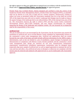the right to approve or deny any application or material not in accordance with the standards herein. Please refer to **Approved Plant Palette, attached herein** for approved grasses.

Florida Water Star Certified Homes: Homes designed and certified to meet the criteria of the Southwest Florida Water Management District, Florida Water Star Program (FWS), as amended, shall not be altered as to the ratio of high and low volume irrigation. Homeowners wishing to reduce turf areas as permitted within the Association standards may do so but shall not exceed 50% of the impervious area with rock or mulch. Landscape bed changes may be made as long as the square footage of the landscape bed is not reduced below 50% of the total pervious area of the lot. The Association reserves the right to enforce FWS and Bay Laurel Center Community Development District (BLCCDD) standards, and may require recertification for changes impacting the design of the landscape and irrigation system. All cost incurred for re-inspection shall be the responsibility of the owner.

#### **Artificial Turf**

The use of artificial turf is not encouraged by the Association, but the Association may permit the installation of artificial turf, not to exceed Marion County standards for impermeable surfaces or the community's storm water management plan. Artificial turf applications shall not extend beyond the rear walls of the home and shall include sufficient information for the ARB to make a determination, such as but not limited to: area of installation, square footage of proposed area demonstration of compliance with Marion County Florida standards and the community's storm water management plan, design use intention for turf area, manufacturers maintenance requirements, manufacturers installation requirements, maintenance plan for designed intent (especially dog runs), sample of artificial turf, as well as signed agreement to maintain the turf for wear and tear and odors. Any artificial turf areas in disrepair or otherwise not compliant with this section must be removed and replaced with approved turf or can be landscaped with Association approval.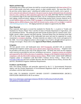#### **Mulch and Bed Edge**

All planting areas within each home site shall be covered and maintained with three inches (3") or more of pine needle, pine bark, cypress, gravel, or other suitable mulch. Not more than 50% of the pervious surface (green space—planting and sodded areas) may be mulch, rock or gravel. If sod is removed and replaced with gravel, the gravel must be clearly delineated from the planting areas by color, curbing or other separation approved by the ARB. Bed edge shall be constructed as a continuous edge on the same horizontal plane. Use of a cementitious-poured in place curbing, steel edging, reinforced plastic edging or an interlocking stacked block concrete material not to exceed eighteen thirty-six inches (1836") in height is recommended for bed edging purposes. and Edging used to define property lines shall not exceed twelve inches  $(12)$  in height is required when defining property lines. All edging materials are subject to approval by the ARB.

#### **Plant Materials**

Plant materials shall equal or exceed the standards for Florida No. 1, as given in "Grades and Standards for Nursery Plants" Part I and Part II State of Florida Department of Agriculture, and any amendments thereto. The landscape plan shall include all plant types by common name, sizes, height, spread, caliper, quantity and plant spacing. Perennial plants may not dominate more than 25% of the total square footage of the landscaped bed areas and must be supported by woody ornamental or evergreen plantings. All plant materials are subject to the review and approval of the ARB. Use of non-indigenous plants is discouraged. Use of native, drought-tolerant species is strongly encouraged. Please refer to the **[Approved Plant Palette,](http://www.otowinfo.com/PlantPaletteForCommunity.pdf) attached herein**.

#### **Irrigation**

All sod, ground covers and landscaped areas shall beoriginally provided with an automatic underground irrigation system shall not be altered unless improving efficiency. Irrigation must be provided to the back of the curb of the adjacent street. All home sites must use the irrigation water source(s) as provided for such use, including re-use sources. Irrigation systems are installed and inspected by BLCCDD at the time of completion. Changes to the irrigation system must be in compliance with the BLCCDD Uniform Service Policy. Home owner cannot install additional irrigation unless in compliance with BLCCDD's Uniform Service Policy. Please refer to [www.BLCCDD.com](http://www.blccdd.com/) and click on Public Records, then the Uniform Service Policy, Sections 49.2 and 49.3, Residential Irrigation Additional Requirements.

#### **Fertilizers and Pesticides**

Only slow-release fertilizers and pesticides approved by the U. S. Environmental Protection Agency and the Florida Department of Environmental Regulation shall be used and applied in accordance with the label instructions.

FOR LINK TO MARION COUNTY BOARD COUNTY COMMISSIONERS (MCBCC) FERTILIZER ORDINANCE 08-35 see below:

[http://www.districtgov.org/images/whatsnew/MCBCC%20Fertilizer%20Ord%2008-](http://www.districtgov.org/images/whatsnew/MCBCC%20Fertilizer%20Ord%2008-35%20FINAL%20SIGNED.pdf) [35%20FINAL%20SIGNED.pdf](http://www.districtgov.org/images/whatsnew/MCBCC%20Fertilizer%20Ord%2008-35%20FINAL%20SIGNED.pdf)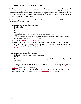#### **FEES FOR MINOR/MAJOR REVIEWS**

The intent of the ARB is to promote and assure that all improvements are aesthetically compatible with each other; promote simple elegance in architectural character; and that dwellings are constructed to reflect the quality and permanence of a premiere residential community. In that regard, the ARB is responsible for ensuring certain improvements are done in accordance with the approved Application for Modification.

The following list of improvements will be inspected upon their completion by ARB representatives at the fee listed:

#### **Minor Review Inspections (\$35 fee applies\*)\*\***

- Hurricane Shutters
- Fences
- Walls
- Chimneys
- Appurtenances and Wall or Roof Attachments or Penetrations
- Accessory Uses: screen enclosures, porch extensions, shutters, gutters, water softeners, generators or other non-structural changes
- Antennas: DBS, OTARDs and antennas
- Landscape Modifications: changes to approved landscape design (Note: No approval or inspection fee is required to install any plant from the Approved Plant Palette in conformity with the previously approved landscape design.)
- Hot Tubs

#### **Major Review Inspections (\$150 fee applies\*)\*\***

- Swimming Pools (includes screened enclosure)
- Wading Pools
- Permanent structural additions attached to the home, excluding screened lanais, screened enclosures.
- \* Fees are subject to change without notice. The ARB reserves the right to include fees for such other modifications as may be required from time to time. Please check with Customer Resident Services for an updated listing.
- \*\* Residents are responsible for delivering the inspection fee at the time Application for Modification form is submitted to the Resident Customer Services Department.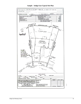

#### **Sample – Indigo East Typical Site Plan**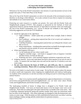#### **On Top of the World Communities Landscaping and Irrigation Standards**

Welcome to On Top of the World Communities. Our mission is to provide premier services to the people who seek to "Find Their Place in the World."

Here at On Top of the World Communities we strive to be stewards of the environment around us therefore we do things a little different. Let us take a minute of your time to explain our reasoning and methods of our conservation efforts.

Protecting our water resource is a number one priority. We work with the Florida Yards and Neighborhoods program ("FYN"). This program is sponsored by the Institute of Food and Agricultural Sciences and the Florida Division of Agriculture to promote water-wise landscapes. On Top of the World Communities, LLC. strives to educate our residents in this regard. The following suggestions are from the FYN Handbook:

- Install the right plant in the right Place:
	- o Light Conditions install a plant that can handle direct sunlight, shade or filtered sunlight.
	- o Soil Conditions picking plant material that like to be in moist soil conditions or dry soil conditions.
	- o Cold/Heat Hardiness choosing plant material that can withstand the climatic zone that we live in.
	- o Water requirements installing plant material that can handle the drought situations and flourish with the rainfall we receive and minimal irrigation.
- Water and Irrigation Efficiency:
	- o Let the landscape tell you when it needs water
	- o Irrigation controller usage each home is equipped with an Irrigation Controller and Rain Sensor, let them do their job.
	- o Watering your lawn early morning irrigation minimizes evaporation and waste.
- Irrigation Amount lawns only need about one-half to three-quarters of an inch of water at a time. To measure this use empty tuna cans and run the zones for 15 minutes to see your water usage.
- **Do not water between the hours of 10:00 a.m. and 4:00 p.m.; this is a statewide watering restriction. Please refer to watering restrictions at www.otowinfo.com.**

We strive to be leaders in conservation of water usage. We do this by trying to reduce the amount of surface runoff and evaporation when irrigating our neighborhoods and roadway landscaping. As residents of the community we ask that you help us by doing your part in conserving a precious natural resource.

(Visit http://www.marioncountyfl.org/departments-agencies/departments-a-n/extensionservice/lawn-and-garden/florida-yards-and-neighborhoods you can learn more about Florida Yards and Neighborhoods and Florida Friendly Landscaping.)

The landscaping installed at homes in Indigo East is designed to be Florida Yards and Neighborhoods friendly. Turf areas are historically known to be the largest water users in the landscape. Plant beds are landscaped with plant material that can handle some water stress. This is especially important during the spring and summer months when water use restrictions really have an effect on the landscape. Also, these landscapes are designed to help the homeowners save money on water usage. When the plants are fully established the homeowners can reduce watering times resulting in money savings and the conservation of a precious resource.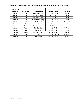| <b>Irrigation</b><br><b>Manufacturer</b> | <b>Application</b> | <b>Type of Head</b>        | <b>Precipitation Rate</b> | <b>Run Time</b> |
|------------------------------------------|--------------------|----------------------------|---------------------------|-----------------|
| <b>Hunter</b>                            | Turf               | <b>PS Series Heads</b>     | $1.4"$ - $1.7"$ per hour  | $10-20$ min     |
| <i>Hunter</i>                            | Turf               | <b>SRS</b> Series Heads    | $1.5"$ per hour           | $10-20$ min     |
| Hunter                                   | Turf               | Pro Spray Series           | $1.5"$ per hour           | $10-20$ min     |
| <i>Hunter</i>                            | Turf               | <b>Institutional Spray</b> | $1.5"$ per hour           | $10-20$ min     |
| Rainbird                                 | Turf               | 1800 Series                | $1.6"$ per hour           | $10-20$ - min   |
| Rainbird                                 | Turf               | Uni-Spray                  | $1.6"$ per hour           | $10-20$ min     |
| Rainbird                                 | <b>Shrubs</b>      | Xeri-Bug Emitter           | $0.5 - 2.0$ GPH           | 30 min - 1 hr.  |
| Rainbird                                 | <b>Shrubs</b>      | Xeri-Bubblers              | $0 - 35$ GPH              | 20-45 min       |
| Rainbird                                 | <b>Shrubs</b>      | Xeri-Spray                 | $0 - 31$ GPH              | 20-45 min       |
| Rainbird                                 | <b>Shrubs</b>      | Xeri-Spray 360             | $0 - 24$ GPH              | $20-45$ min     |
| Hunter                                   | Turf               | PGP                        | $.12" - 1.1"$ per hour    | $30$ min-1 hr.  |
| Hunter                                   | Turf               | <b>MP</b> Rotator          | $.45"$ per hour           | 90 min          |

Here are the types of heads we use in residential landscaping including the suggested run times.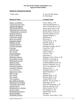#### **On Top Of the World Communities, LLC. Approved Plant Palette**

#### **Shrubs for Subtropical climates**

| <b>Botanical Name</b>          |
|--------------------------------|
| <u>Abelia x grandiflora</u>    |
| <u>*Callicarpa americana</u>   |
| <u>*Illicium floridanum</u>    |
| <i>*Illicium parviflorum</i>   |
| <u>*Rhododendron austrinum</u> |
| * Rhododendron canescens       |
| <u>Nandina domestica</u>       |
| <b>Berberis thunbergii</b>     |
| Callistemon rigidus            |
| <u>Buxus microphylla</u>       |
| Ligustrum sinense              |
| Buddliea davidii               |
| <u>Camellia japonica</u>       |
| Camellia sasanqua              |
| <u>Cana spp.</u>               |
| Gardenia spp.                  |
| <u>Ilex cornuta</u>            |
| <u>Cleyera japonica</u>        |
| Cycas revoluta                 |
| Elaeagnus pungens              |
| Pyracantha coccinea            |
| Rhododendron simsi             |
| <u>Mahonia bealei</u>          |
| Mahonia fortunei               |
| <u>Ligustrum japnicum</u>      |
| Cortaderia selloana            |
| Acca sellowiana                |
| <u>Rapheolepis indica</u>      |
| Hibiscus spp.                  |
| <u>Ilex crenata</u>            |
| Ilex rotunda                   |
| * <u>Ilex vomitoria</u>        |
| Ilex 'Nellie R. Stevens'       |
| Hydrangea macrophylla          |
| * <u>Hydrangea quercifolia</u> |
| Jasmine mesnyi                 |
| <u>Rhododendron x obtusum</u>  |
| Serenoa repens                 |
| <b>Rhapidophylum histerix</b>  |
| <u>Nerium oleander</u>         |
| Osmanthus fragrans             |

\* Native plant S = Sun, PS=Part Shade FS=Full Shade

#### **Common Name**

*Abelia x grandiflora* Glossy Abelia, S, PS American Beautyberry, S Anise, Florida Anise, S, FS *\*Illicium parviflorum* Anise, Ocala Anise, S, PS *\*Rhododendron austrinum* Florida Flame Azalea, FS *\* Rhododendron canescens* Florida Pinxter Azalea, FS *Heavenly Bamboo, S, FS* Japanese Barberry, S Bottlebrush, S **Boxwood**, S **Chinese Privet, S, PS Butterfly Bush, S Camellia, PS, FS** Sasanqua Camellia, PS, FS **Cana Lilly, S, PS** Gardenia, S, PS **Chinese Holly, S Cleyera**, S, PS **Sago Palm, S** *Elaeagnus, Silver Thorn, S, PS* **Firethorn, Pyracantha, S** *Rhododendron simsi* Formosa Azalea, PS, FS LeatherleafMahonia, PS, FS Fortune's Mahonia, PS, FS **Wax Leaf Ligustrum, S, PS** Pampas Grass, S Pineapple Guava, S, PS *Rapheolepis indica* Indian Hawthorn, S Hibiscus, S Japanese Holly, S, PS *Ilex rotunda* Rotunda Holly, S, PS Yaupon Holly, S, PS *Nellie R. Stevens Holly, S.* Hydrangea, PS, FS Oak Leaf Hydrangea, S, PS **Primrose Jasmine, S, PS** *Rhododendron x obtusum* Indica Azaleas, PS, FS **Saw Palmetto, S, PS** *Rhapidophylum histerix* Needle Palm, PS, FS **Oleander**, S Tea Olive, Sweet Olive, S, PS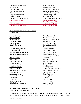| Podocarpus, S, PS            |
|------------------------------|
| Wax Myrtle, S, PS            |
| Sandankwa Viburnum, S, PS    |
| Sweet Viburnum, S, PS        |
| Walter's Viburnum, S, PS     |
| Chinese Fringe Bush, S       |
| Pittosprorum, S              |
| Philodendron Selloum, PS, FS |
| Blue Plumbago, S, PS         |
| Dwarf Palmetto, S, PS        |
| Loropetalum PS, FS           |
| Podocarpus, S, PS, FS        |
|                              |

#### **Groundcovers for Subtropical climates \* Native plant**

*Allamanda violacea* Pink Allamanda, S, PS *Dietes irodiodes* African Iris, S, PS *Dietes bicolor* Yellow African Iris, S, PS *Agapanthus praecox* Agapanthus, S, PS, FS *Hedera canariensis* Algerian Ivy, PS, FS *\*Zamia floridana* Coontie Palm, S, PS *Acuba japonica* Acuba, FS *Gelsemium sempervirens* Carolina Jessamine, S, PS *Aspidstra elatior* Cast Iron Plant, PS, FS *Trachelospermum jasminoides* Confederate Jasmine, S, PS *Trachelospermum asiaticum* **Asian Jasmine, S, PS** *Lonicera sempervirens* Coral Honeysuckle, S, PS *Hemerocalis spp*. Daylily, S *Hedera Helix* English Ivy, PS, FS *Cupheahys sopifolia* Mexican Heather, S, PS *\*Spartina bakeri* Sand Cordgrass, S *Papalum quadrifarium* Evergreen Paspalum, S *Thubaghia violacea* Society garlic, S, PS *Lonicera japonica* Japanese Honeysuckle, S, PS *\*Rhododerdron canescens* Wild Honeysuckle, S, PS *Juniperus chinensis* Chinese Juniper, S *Juniperus conferta* Shore Juniper, S *Juniperus horizontalis* Creeping Juniper, S *Lantana spp.* Lantana, S *Liriope spp.* Liriope, S, PS, FS *Ophiopogon japonicus* Aztec Grass, S, PS, FS *\*Muhlenbergia capalaris* Muhly Grass, S *\*Eragrostis spp.* Love Grass, S

#### **Buffer Planting Recommended Plant Palette**

Buffer Planting Specifications*:*

Landscape Buffer requirements: Landscape plants must be maintained at least thirty-six to no more than forty-eight inches (36" - 48") in height to provide one hundred percent (100%) coverage of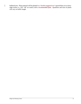buffered area. Plant material will be planted <del>in a "double staggered row"</del> spaced thirty-six to fortyeight inches o.c. (36"- 48" on center) with a recommended plant. Quantities and sizes of plants will vary on buffer length.

 $\overline{\phantom{a}}$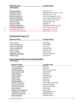#### **Botanical Name Common Name** *\*Native plant*

| Cleyera japonica       | Cleyera, S, PS                 |
|------------------------|--------------------------------|
| Elaeagnus pungens      | Elaeagnus, Silver Thorn, S, PS |
| Ligustrum sinense      | Chinese Privet, S PS           |
| Ligustrum japnicum     | Wax Leaf Ligustrum, S, PS      |
| *Illicium floridanum   | Anise, Florida Anise, PS, FS   |
| *Illicium parviflorum  | Anise, Ocala Anise, S, PS      |
| Myrica cerifera        | Wax Myrtle, S, PS              |
| Nerium oleander        | Oleander, S                    |
| Viburnum suspensum     | Sandankwa viburnum, S, PS      |
| Viburnum odortissimum  | Sweet Viburnum, S, PS          |
| Loropetalum chinesis   | Loropetalum PS, FS             |
| Podocarpus macrophylla | Podocarpus, S, PS, FS          |
|                        |                                |

#### **Recommended Canopy Tree**

*\*Acer rubrum* Red Maple *\*<u>Acer saccaharinum</u>*<br>*\*Ouercus virginiana* by Silver Maple Live Oak *\*Quercus virginiana* Live Oak *\*Quercus shumardii* Shumard Oak *<u>Quercus</u> lyrata Quercus nuttallii* Nuttall Oak<br>
\*Magnolia grandiflora (1994) Southern Magnolia *\**<br>*\*Magnolia grandiflora* Southern Magnolia *Southern* Magnolia *Southern* Magnolia *Southern* Magnolia *Southern* Magnolia *Southern* Magnolia *Southern* Magnolia *Southern* Magnolia *Southern* Magnolia *Southern* Magno *\*Betula nigra* 

#### **Botanical Name Common Name**

### **Recommended Understory Tree and Palm Palette**

### *\*Native plant*

| <b>Botanical Name</b>     | <b>Common Name</b>      |
|---------------------------|-------------------------|
| <i>*Cercis canadensis</i> | Red Bud                 |
| <i>*Cornus florida</i>    | Dogwood                 |
| Ligustrum japonica        | Tree Form Ligustrum     |
| Lagerstromia indica       | Crape Myrtle            |
| <i>*Pinus elliottii</i>   | <b>Slash Pine</b>       |
| <i>*Pinus palustris</i>   | Longleaf Pine           |
| <i>*Pinus taeda</i>       | <b>Loblolly Pine</b>    |
| <i>*Pinus clausa</i>      | <b>Sand Pine</b>        |
| <i>*Sabal palmetto</i>    | Sabal Palm              |
| Phoenix canariensis       | Canary Island Date Palm |
| Livistona chinensis       | Chinese Fan Palm        |
| Chamerops humulis         | European Fan Palm       |
| <b>Butia</b> capitata     | Pindo Palm              |
| Syagrus romanzoffianum    | <b>Queen Palm</b>       |
| Washingtonia robusta      | Washingtonia Palm       |
| Trachycarpus fortunei     | Windmill Palm           |
| Salix babylonica          | Weeping Willow          |
|                           |                         |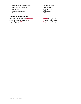*\*Ilex attenuata 'East Palatka'* East Palatka Holly *Ilex attenuata 'Savannah'* Savannah Holly *\*Taxodium distichum*<br> *Gordonia lasianthus*<br> *Gordonia lasianthus*<br> *Gordonia lasianthus* Gordonia lasianthus

## **Recommended Sod Palette**

**Stenotaphrum secundatum <del>'Classic'</del>** Classic St. Augustine<br> *Paspalum notatum 'Argentine'* Argentine Bahia Grass *Paspalum notatum 'Argentine'* Argentine Bahia Grass Zoysia japonica <del>'Empire'</del>

**Dahoon Holly**<br>Bald Cypress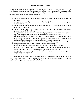All installations and alterations of water conservation systems require the approval of both the Bay Laurel Center Community Development District and the ARB. Rain barrels, cisterns, or other capture systems with an approved Application of Approval of Request for Modification and meeting the following criteria may be installed:

- a. storage system material shall be rubberized, fiberglass, clay, or other material approved by the ARB;
- b. storage system capacity may not exceed fifty-five (55) gallons per collection up to a maximum of two  $(2)$ ;
- c. storage system shall be gravity fed type and have fitting lid to prevent contamination and insect vector attraction;
- d. storage system pedestal height may not exceed twelve inches (12") and shall be poured in place or precast single platform;
- e. storage system shall be screened by four foot (4') high white PVC fence or wall of approved style rendering the installation invisible from any side yard or street view;
- f. storage system plant buffer shall be selected from the Approved Plant Palette for buffer plants and installed at two feet (2') on center intervals to provide buffer from street view, and all buffer plantings shall be maintained by the Owner in perpetuity;
- g. down gutter that feeds the storage system shall match the dwelling gutter system color;
- h. storage system may not be installed on the front of the dwelling;
- i. no backflow or cross-connection to any other system or equipment is allowed;
- j. no pump or other device may be used to pressurize the collected rain water storage system and be connected into the existing irrigation system of the dwelling; and
- k. storage system location may not interfere with the maintenance of the dwelling or any neighboring dwelling or lot.

Any other conservation system will be reviewed based on the degree to which it conforms to the above water conservation systems criteria and based on the technological, safety, health, and public welfare aspects of the proposed installation.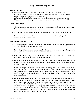#### **Outdoor Lighting**

- Outdoor lighting shall be achieved by using the lowest wattage of lamp possible to provide the amount of light needed according to standards provided by the Illuminating Engineering Society of North America (IESNA)
- Lighting shall be installed in a manner to prevent direct glare onto adjacent properties.
- Light spillage onto adjacent properties may not exceed 0.5 foot candles for residential.

#### **Exterior Post Lamps**

- The Homeowner is responsible for maintaining the photo sensor and light on the exterior post lamp to ensure they are in good working order.
- All post lamps, when replaced, must be of consistent color and style as the original install.
- In neighborhoods where post lamps are installed in lieu of street lamps, the post lamps shall remain illuminated dusk to dawn.

#### **Landscape Lighting Specifications:**

- All landscape lighting shall be "low voltage" incandescent lighting and shall be approved by the ARB of the Association prior to installation.
- Low voltage light fixtures for landscape path lighting will be allowed, tree up-lighting shall be allowed, but only in a manner that is not obtrusive to others.
- Landscape lighting near roads will be shielded in a manner to ensure safety of vehicles and pedestrians and shall not be obtrusive or a nuisance to others.
- Lighting may be mounted to the dwelling, and shall conform to the original architecture of the house. The homeowner shall receive Association permission before changing the exterior condition of the home.
- Holiday lighting and decorations shall be permitted so long as the lights and decorations do not constitute a nuisance. Colored bulbs in low voltage light fixtures and building mounted fixtures shall not be allowed. Rope and tube lighting only allowed during the holiday season. Lights and decorations are to be added no earlier than the second weekend in November and must be removed by January 16.
- Decorations for other holidays such as, but not limited to, St. Patrick's Day, Independence Day, Halloween and Thanksgiving, may be displayed on each lot or dwelling beginning not earlier than fourteen (14) calendar days before the holiday and shall be removed within seven (7) calendar days after the holiday. They must be displayed in a tasteful manner and shall not be excessive relative to the general level of lighting and decoration in the community, or constitute a nuisance to the neighbors, or create an obstruction to maintenance. It is the owner's responsibility to ensure that the decorations are displayed safely and do not constitute a safety hazard for the neighbors or maintenance personnel.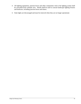- All lighting equipment, junction boxes and other components vital to the lighting system shall be concealed from curbside view. Shrubs shall be used to conceal landscape lighting fixtures and hardware, including junction boxes and timers.
- Solar lights are discouraged and must be removed when they are no longer operational.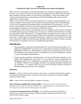#### **Indigo East Standards for DBS, Over-the-Air-Reception and Antenna Installations**

DBS, Over-the-Air-Reception and Antenna installations are permitted on property within the exclusive use or control of the Owner only after written approval by the ARB which is based on these standards and which address structural safety and aesthetics. Owner must abide by and comply with all requirements and permitting of the Florida Building Code and any and all applicable government bodies.

Safety is a key concern of the Association in general and as related to antenna installation. Any antenna installation must comply with all requirements and permitting of the Florida Building Code, any and all applicable government bodies, and manufacturer's specifications. It is the Owner's responsibility to ensure that all such requirements and regulations are observed, and that documentation of compliance is provided to the ARB upon request.

It is the obligation of the owner to seek ARB approval via an Application for Approval of Request for Modification pursuant to the Declaration of Covenants, Conditions and Restrictions for Indigo East (hereinafter called "Declaration"). All applications for such approval must clearly show that the installation shall not violate any of the provisions of the Declaration, Association Rules, or any local, state, or federal body with applicable jurisdiction. Approval will be withheld or rescinded if the Association or ARB, in its sole discretion, determines the Owner failed to comply or provide documentation of compliance with any or all applicable requirements.

#### **Indemnification:**

- 1. Owner(s) agrees to indemnify and hold harmless On Top of the World Communities, LLC., Indigo East Neighborhood Association, Inc. (Association) and Parkway Maintenance & Management Marion LLC. (Management Company) for any damage which may result to the installation in the normal course of maintenance work by the Management Company or any of its designated representatives.
- 2. Owner(s) agree to indemnify and hold harmless, On Top of the World Communities, LLC., Indigo East Neighborhood Association, Inc. (Association), Parkway Maintenance & Management Marion LLC. (Management Company) and any and all related entities, for any liability whatsoever from damage resulting to surrounding dwellings resulting from any installation. No approval shall be given until the Owner(s) has/have executed an indemnity agreement pursuant to this paragraph.

#### **Definitions**:

**Antenna** – a device or part of a device used to receive and / or transmit radio frequency signals. For the purpose of this document: mounted on the exterior or grounds of a property. (Height references include Mast.)

**Mast** – a pole or tower used principally to support an antenna.

**Direct Broadcast Satellite Dish Antenna (DBS)** – is one meter or less in diameter that is designed to receive direct broadcast satellite service, including direct-to-home satellite service, or to receive or transmit fixed wireless signals via satellite.

**Over-the-Air-Reception Devices (OTARD)** – FCC definition and related regulations of antennas for reception of terrestrial and satellite broadcasts and antennas that receive and transmit fixed wireless signals.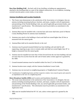**Rear Base Building Wall** – the back wall of any dwelling, excluding any appurtenances attached to the dwelling either as a part of the original construction, or as an addition, including covered concrete patios, screen rooms, or sun rooms.

#### **Antenna Installation and Location Standards:**

- 1. The Owner must demonstrate to the satisfaction of the Association or its designee, that any antenna including mounting hardware, brackets, and masts, complies with all requirements and permitting of the Florida Building Code, any and all applicable government bodies, and manufacturer's specifications. This information must be provided as an attachment to the Application form.
- 2. Antenna Mast must be installed with a concrete base and owner shall show proof of Marion County Building Permit for antenna mast installation.
- 3. Antennas may attach to the building or fascia and shall not extend higher than 20 feet as measured from the natural grade.
- 4. Antenna/Mast shall not be attached directly to the roof.
- 5. Antennas may be ground mounted behind rear base building wall and shall be selfsupporting, requiring no guy wires to remain stable and shall not extend higher than 20' in height as measured from the natural grade.
- 6. Antenna must be installed not more than 10 feet forward from the rear base building wall and not more than five (5) feet from the side wall of home unless written approval is granted by the ARB.
- 7. Ground mounted antennas must be installed within five feet (5') of the building.
- 8. Antenna location must comply with the Antenna Installation Locate Guide.
- 9. Antennas may not encroach on neighboring property or Neighborhood Common Property.
- 10. Consideration of neighboring homes and their respective window views must be given and cannot be an impediment to the view of a neighboring home.

#### **Direct Broadcast** *Satellite (DBS) and Location and Installation Standards*

- 1. The owner must demonstrate to the satisfaction of the Association or its designee, that any antenna including mounting hardware, brackets, and masts, complies with all requirements and permitting of the Florida Building Code, any and all applicable government bodies, and manufacturer's specifications. This information must be provided as an attachment to the Application form.
- 2. DBS must be installed behind the HV AC unit, unless written approval is granted by the ARB.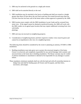- 3. DBS may be anchored in the ground on a single pole mount.
- 4. DBS shall not be attached directly to the roof.
- 5. DBS installation may be attached to the fascia or building and shall not extend to a height greater than three (3) feet above the roof fascia and may not extend forward more than ten (10) feet from the rear base wall of the home unless written approval is granted by the ARB.
- 6. DBS location must comply with the DBS Installation Locate Guide and be screened from street view. If the signal cannot be obtained at preferred location, the ARB will work with the DBS vendor on an agreed upon location that may require additional screening from view with buffer plantings.
- 7. DBS unit may not encroach on neighboring property.
- 8. Consideration of neighboring homes and their respective window views must be given and cannot be an impediment to the view of a neighboring home.

The following items should be considered by the owner in planning an antenna, OTARD or DBS installation.

- 1. Building installation must take great care to protect the structural integrity of the home. Owner is exclusively and completely responsible for any and all damage, both cosmetic and structural done to the home due to building installation. The House warranty may be voided if antenna installation or attachment is deemed to be responsible for any damage or system failure.
- These mandatory minimum standards shall run with the land and with all ownership interests in Indigo East and shall be binding upon all Owners and Occupants, and their heirs, successors, and assigns.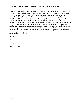#### **Indemnity Agreement for DBS, Antenna, Mast and/or OTARD Installation**

The undersigned, having requested approval of the Indigo East Neighborhood Association, Inc. for the privilege of installing a DBS, Antenna, Mast and/or OTARD pursuant to the Standards for DBS, Over-the-Air-Reception and Antenna Installations, further agree(s) that it shall indemnify and hold harmless On Top of the World Communities, LLC., Indigo East Neighborhood Association, Inc. (Association), Parkway Maintenance & Management Marion, LLC. (Management Company) and any and all of its agents and employees from any loss or damage as a result of the installation and or maintenance or operation of any DBS, Antenna Mast and/or OTARD installation. This indemnification agreement shall obligate the owner(s) to reimburse the Association or Management Company or any of its agents and employees for all costs and expenses including attorney's fees, which may be expended with regard to any claim regarding said DBS, Antenna, Mast and/or OTARD installation or operation or maintenance.

 $Accepted this$   $\_\_\_\_day\$  of  $\_\_\_\_\_\_\_\_\_\_\_\_\_\_\_$ 

Owner:

Owner:

Address:

Ocala, FL 34476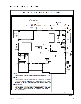#### **DBS INSTALLATION LOCATE GUIDE**

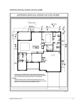#### **ANTENNA INSTALLATION LOCATE GUIDE**

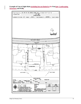#### **Example of Line of Sight Rules including but not limited to for Fencinge, Landscaping, Structures and Walls**

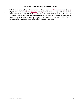#### **Instructions for Completing Modification Form**

This form is provided as a "sample" only. Please visit our Customer-Resident Services Department where a Customer-Resident Services representative will input all the necessary information into the form for you. Please be sure to attach a sketch of any modifications you plan to make to the exterior of the home (whether structural or landscaping). We suggest using a copy of your home site plan for preparing your sketch. Additionally, provide the name of the contractor performing the work along with proof of liability insurance coverage.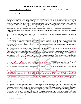#### **Application for Approval of Request for Modification**

Alteration/ Modification to Dwelling \*\*\*Sketch or Drawing Must Be Attached\*\*

\*\*SAMPLE\*\*

The undersigned hereby applies to the Architectural Review Board of Indigo East Neighborhood Association, Inc. ("Association") for approval to make only those specific modifications/alterations or landscaping changes as specified in the attached drawings and as summarized above. The undersigned represents and covenants that the said modification/alteration or landscaping changes will be exactly as set forth herein; with no changes or modifications other than as approved should this application be granted; and further, the undersigned acknowledges, ratifies and confirms that this application, if granted shall be solely based on the plans and drawings submitted herewith. No amendment nor change of any kind shall be permitted nor shall be acceptable without the express written approval of the Association.

#### **APPROVAL FOR THE MODIFICATION SHALL BE SUBJECT TO THE FOLLOWING CONDITIONS ALL OF WHICH MUST BE MET WITHOUT EXCEPTION UNLESS WRITTEN PERMISSION FROM THE ASSOCIATION HAS BEEN OTHERWISE GRANTED:**

1. Motorized Vehicles shall not be permitted or allowed off of any of the paved surfaces, unless prior written approval is obtained from the Association, which approval may be denied or arbitrarily withheld.

2. All contractors, sub-contractors or sub-sub contractors and any of their individual agents or employees shall be the sole responsibility of Applicant and shall be, for all purposes considered only the employee or the independent contractor of Applicant. Any loss or damage resulting from the actions of a contractor or sub-contractor, or sub-sub contractor be it damage resulting to the subsequent modifications to the building structure, building exterior, landscaping, or irrigation, and whether such loss or damage results from either the actions of the contractor subcontractor or sub-sub-contractor or from the existence of the modification/alteration itself, shall be the sole and absolute financial obligation of the dwelling owner.

3. In the event damages shall occur as a result of the modification/alteration, the Association and Parkway Maintenance & Management Marion, LLC<sub>7</sub>Co. ("The Management Company") shall each have the right to take legal action, including but not limited to the seeking of injunctive relief to require the removal of the modification/alteration. Such action, at the discretion of the Association, may be brought against the dwelling owner and/or a lessee of the dwelling owner and/or the person or persons in occupancy of the dwelling, jointly and severally in order to recover for any recovery and all the expenses that may be incurred by the Association or the Management Company as a result of damages resulting from the alteration/modifications, including, but not limited to the reimbursement of all legal fees and court costs expanded on behalf of the Association, through any appellate proceedings and regardless of the findings of the court. This provision for attorneys' fees and costs shall include both an action for injunctive relief of for damages.

4. Landscaping shall be approved by the Association prior to installation. All additions or changes to the existing landscape plantings or hardscape, such as curbs, decorative walls or other hardscape that inhibit routine maintenance shall be the responsibility of and shall be maintained by the dwelling owner. Maintenance includes, but is not limited to mowing, edging, pruning, weeding, and replacement or removal.

5. The Association and the Management Company shall not be responsible for roof repairs and maintenance where any portion of the modification/alteration is affixed to the existing building, or when the existing roof structure has been altered in any respect.

6. The Association and the Management Company shall not be responsible for roof repairs and maintenance where any portion of the modification/alteration is affixed to the existing building, or when the existing roof structure has been altered in any respect. Under no circumstances shall employees of the Association or the Management Company enter into or upon any area enclosed by the Applicant, even though, prior thereto, the Association was obligated to provide maintenance services. This includes but is not limited to the enclosure of a porch or lanai—it being a condition of the approval of this application, that the dwelling owner or his/her/their successors in interest including but not limited to any subsequent purchasers of the property shall be required to perform all maintenance within the interior of any dwelling that has been modified or altered in any way from the original structure.

All work must be completed in accordance with the approved plans and site plan attached and made a part hereof.

Associated the remainder of the contents of the minimum space of the minimum space of the minimum space of the minimum space of the minimum space of the minimum space of the minimum space of the contents of the contents o 8. Approval of the requested alteration, modification or landscaping change shall not constitute approval of any further alteration, modification or landscaping and the approval of this or any other application shall not constitute any precedence for any other approval for any additional modification/alteration even if to portions of any modification/alteration that might be approved in accordance with this application. Further, approval of this application shall not release the applicant nor the dwelling owner any occupant, lessee or any subsequent purchaser from all of the requirements to maintain and repair the building structure as well as the improvements which may be authorized as a result of the approval of this application. Applicant and dwelling owner and any successor in interest, including a subsequent purchaser, shall be and shall remain totally responsible for any damage done by any worker or contractor or subcontractor or sub-subcontractor who has been employed by applicant or dwelling owner, occupant or lessee to perform or to complete the said modification/alteration.